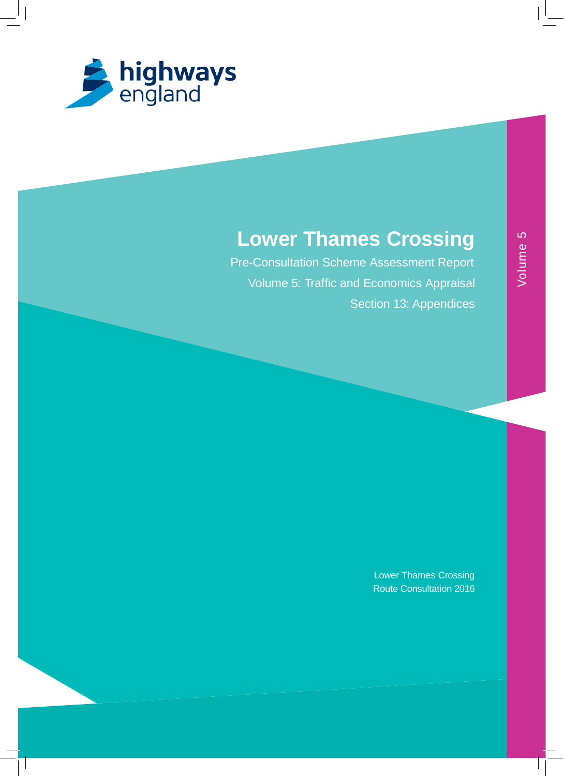

# **Lower Thames Crossing**

Pre-Consultation Scheme Assessment Report Volume 5: Traffic and Economics Appraisal Section 13: Appendices

> Lower Thames Crossing Route Consultation 2016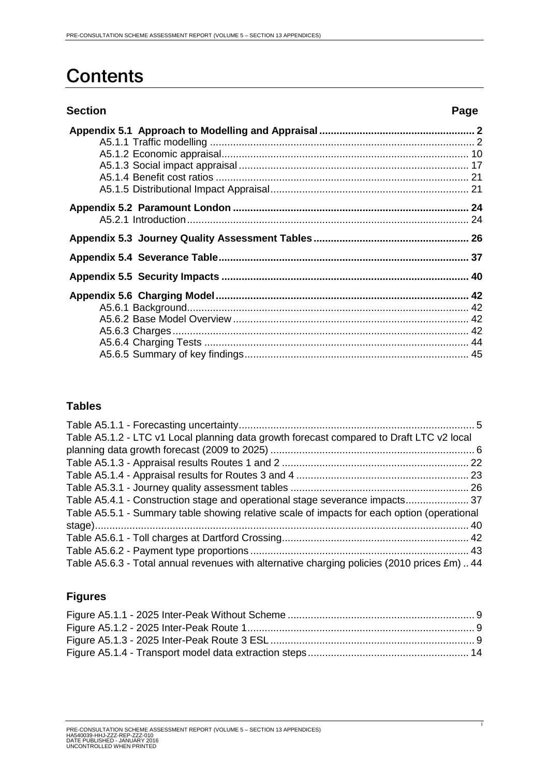# **Contents**

| <b>Section</b> | Page |
|----------------|------|
|                |      |
|                |      |
|                |      |
|                |      |
|                |      |
|                |      |
|                |      |
|                |      |
|                |      |
|                |      |
|                |      |
|                |      |
|                |      |
|                |      |
|                |      |
|                |      |
|                |      |

# **Tables**

| Table A5.1.2 - LTC v1 Local planning data growth forecast compared to Draft LTC v2 local    |  |
|---------------------------------------------------------------------------------------------|--|
|                                                                                             |  |
|                                                                                             |  |
|                                                                                             |  |
|                                                                                             |  |
| Table A5.4.1 - Construction stage and operational stage severance impacts37                 |  |
| Table A5.5.1 - Summary table showing relative scale of impacts for each option (operational |  |
|                                                                                             |  |
|                                                                                             |  |
|                                                                                             |  |
| Table A5.6.3 - Total annual revenues with alternative charging policies (2010 prices £m)44  |  |

# **Figures**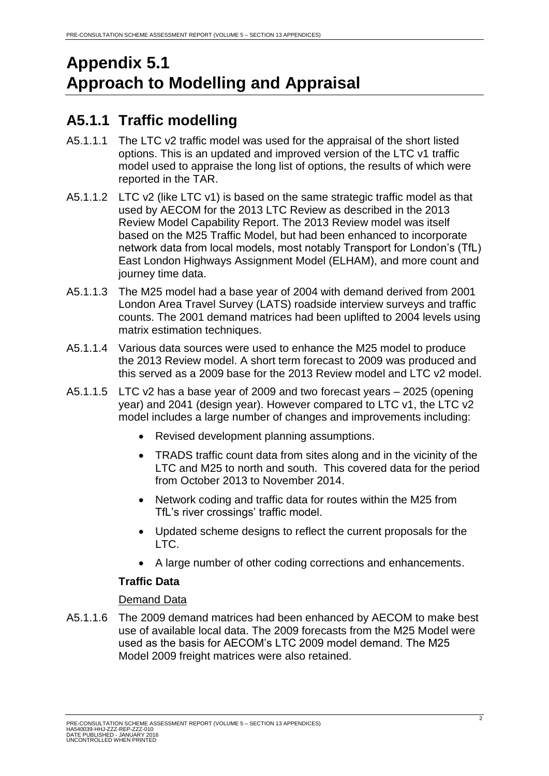# <span id="page-2-0"></span>**Appendix 5.1 Approach to Modelling and Appraisal**

# <span id="page-2-1"></span>**A5.1.1 Traffic modelling**

- A5.1.1.1 The LTC v2 traffic model was used for the appraisal of the short listed options. This is an updated and improved version of the LTC v1 traffic model used to appraise the long list of options, the results of which were reported in the TAR.
- A5.1.1.2 LTC v2 (like LTC v1) is based on the same strategic traffic model as that used by AECOM for the 2013 LTC Review as described in the 2013 Review Model Capability Report. The 2013 Review model was itself based on the M25 Traffic Model, but had been enhanced to incorporate network data from local models, most notably Transport for London's (TfL) East London Highways Assignment Model (ELHAM), and more count and journey time data.
- A5.1.1.3 The M25 model had a base year of 2004 with demand derived from 2001 London Area Travel Survey (LATS) roadside interview surveys and traffic counts. The 2001 demand matrices had been uplifted to 2004 levels using matrix estimation techniques.
- A5.1.1.4 Various data sources were used to enhance the M25 model to produce the 2013 Review model. A short term forecast to 2009 was produced and this served as a 2009 base for the 2013 Review model and LTC v2 model.
- A5.1.1.5 LTC v2 has a base year of 2009 and two forecast years 2025 (opening year) and 2041 (design year). However compared to LTC v1, the LTC v2 model includes a large number of changes and improvements including:
	- Revised development planning assumptions.
	- TRADS traffic count data from sites along and in the vicinity of the LTC and M25 to north and south. This covered data for the period from October 2013 to November 2014.
	- Network coding and traffic data for routes within the M25 from TfL's river crossings' traffic model.
	- Updated scheme designs to reflect the current proposals for the LTC.
	- A large number of other coding corrections and enhancements.

# **Traffic Data**

#### Demand Data

A5.1.1.6 The 2009 demand matrices had been enhanced by AECOM to make best use of available local data. The 2009 forecasts from the M25 Model were used as the basis for AECOM's LTC 2009 model demand. The M25 Model 2009 freight matrices were also retained.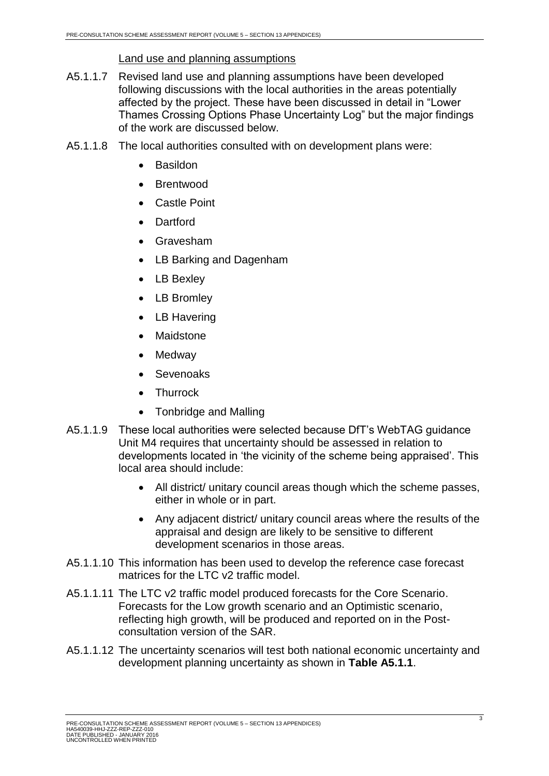# Land use and planning assumptions

- A5.1.1.7 Revised land use and planning assumptions have been developed following discussions with the local authorities in the areas potentially affected by the project. These have been discussed in detail in "Lower Thames Crossing Options Phase Uncertainty Log" but the major findings of the work are discussed below.
- A5.1.1.8 The local authorities consulted with on development plans were:
	- Basildon
	- Brentwood
	- Castle Point
	- Dartford
	- Gravesham
	- LB Barking and Dagenham
	- LB Bexley
	- LB Bromley
	- LB Havering
	- Maidstone
	- Medway
	- Sevenoaks
	- Thurrock
	- Tonbridge and Malling
- A5.1.1.9 These local authorities were selected because DfT's WebTAG guidance Unit M4 requires that uncertainty should be assessed in relation to developments located in 'the vicinity of the scheme being appraised'. This local area should include:
	- All district/ unitary council areas though which the scheme passes, either in whole or in part.
	- Any adjacent district/ unitary council areas where the results of the appraisal and design are likely to be sensitive to different development scenarios in those areas.
- A5.1.1.10 This information has been used to develop the reference case forecast matrices for the LTC v2 traffic model.
- A5.1.1.11 The LTC v2 traffic model produced forecasts for the Core Scenario. Forecasts for the Low growth scenario and an Optimistic scenario, reflecting high growth, will be produced and reported on in the Postconsultation version of the SAR.
- A5.1.1.12 The uncertainty scenarios will test both national economic uncertainty and development planning uncertainty as shown in **Table A5.1.1**.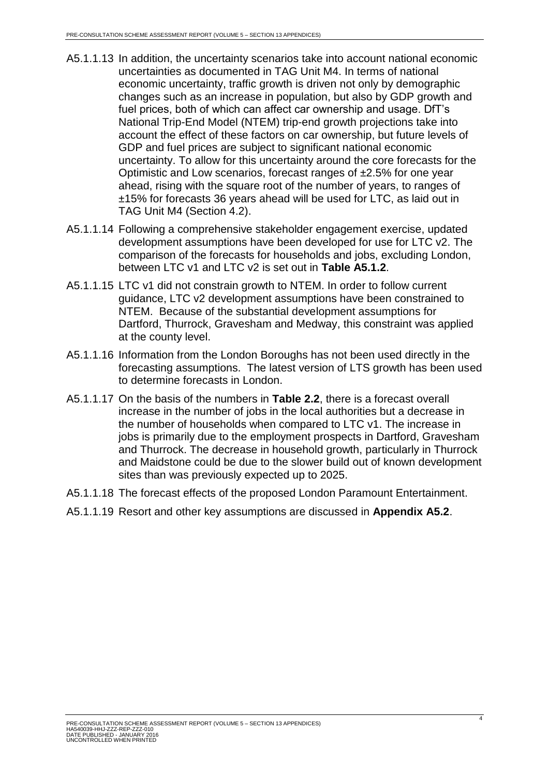- A5.1.1.13 In addition, the uncertainty scenarios take into account national economic uncertainties as documented in TAG Unit M4. In terms of national economic uncertainty, traffic growth is driven not only by demographic changes such as an increase in population, but also by GDP growth and fuel prices, both of which can affect car ownership and usage. DfT's National Trip-End Model (NTEM) trip-end growth projections take into account the effect of these factors on car ownership, but future levels of GDP and fuel prices are subject to significant national economic uncertainty. To allow for this uncertainty around the core forecasts for the Optimistic and Low scenarios, forecast ranges of ±2.5% for one year ahead, rising with the square root of the number of years, to ranges of ±15% for forecasts 36 years ahead will be used for LTC, as laid out in TAG Unit M4 (Section 4.2).
- A5.1.1.14 Following a comprehensive stakeholder engagement exercise, updated development assumptions have been developed for use for LTC v2. The comparison of the forecasts for households and jobs, excluding London, between LTC v1 and LTC v2 is set out in **Table A5.1.2**.
- A5.1.1.15 LTC v1 did not constrain growth to NTEM. In order to follow current guidance, LTC v2 development assumptions have been constrained to NTEM. Because of the substantial development assumptions for Dartford, Thurrock, Gravesham and Medway, this constraint was applied at the county level.
- A5.1.1.16 Information from the London Boroughs has not been used directly in the forecasting assumptions. The latest version of LTS growth has been used to determine forecasts in London.
- A5.1.1.17 On the basis of the numbers in **Table 2.2**, there is a forecast overall increase in the number of jobs in the local authorities but a decrease in the number of households when compared to LTC v1. The increase in jobs is primarily due to the employment prospects in Dartford, Gravesham and Thurrock. The decrease in household growth, particularly in Thurrock and Maidstone could be due to the slower build out of known development sites than was previously expected up to 2025.
- A5.1.1.18 The forecast effects of the proposed London Paramount Entertainment.
- A5.1.1.19 Resort and other key assumptions are discussed in **Appendix A5.2**.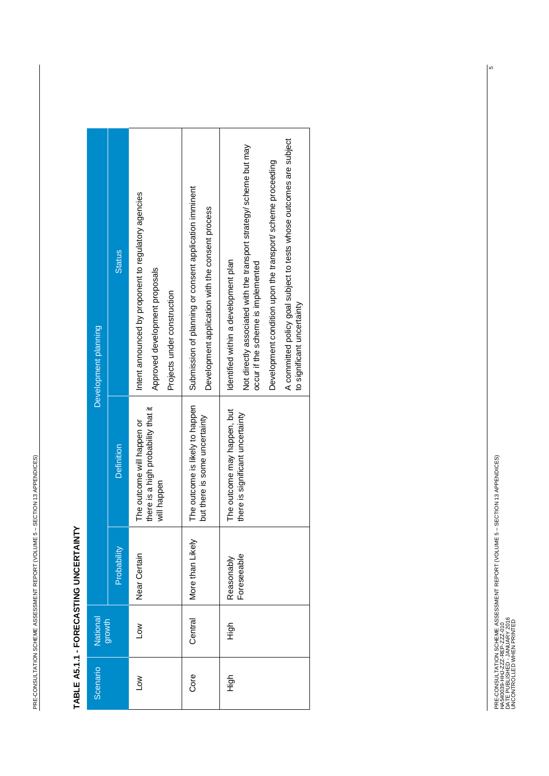#### <span id="page-5-0"></span>Not directly associated with the transport strategy/ scheme but may Not directly associated with the transport strategy/ scheme but may Submission of planning or consent application imminent Submission of planning or consent application imminent Intent announced by proponent to regulatory agencies Intent announced by proponent to regulatory agencies Development application with the consent process Development application with the consent process **Status** Probability Definition Definition Definition Definition Definition Definition Definition Definition Definition D Identified within a development plan Identified within a development plan occur if the scheme is implemented occur if the scheme is implemented Approved development proposals Approved development proposals Projects under construction Projects under construction Development planning Development planning The outcome is likely to happen Core | Central | More than Likely | The outcome is likely to happen there is a high probability that it there is a high probability that it The outcome may happen, but The outcome may happen, but there is significant uncertainty there is significant uncertainty but there is some uncertainty but there is some uncertainty Low Low Near Certain The outcome will happen or The outcome will happen or Definition will happen will happen More than Likely Probability Near Certain Foreseeable Foreseeable Reasonably High High Reasonably National<br>growth Central Scenario | National  $\sum_{i=1}^{\infty}$ High Scenario Core  $\sum_{i=1}^{\infty}$ High

Development condition upon the transport/ scheme proceeding

Development condition upon the transport/ scheme proceeding

A committed policy goal subject to tests whose outcomes are subject

A committed policy goal subject to tests whose outcomes are subject<br>to significant uncertainty

to significant uncertainty

# TABLE A5.1.1 - FORECASTING UNCERTAINTY **TABLE A5.1.1 - FORECASTING UNCERTAINTY**

დ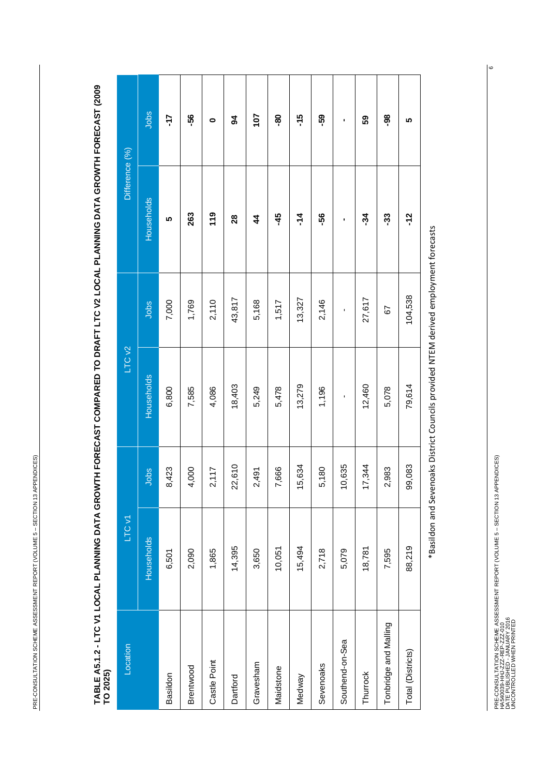<span id="page-6-0"></span>**TABLE A5.1.2 - LTC V1 LOCAL PLANNING DATA GROWTH FORECAST COMPARED TO DRAFT LTC V2 LOCAL PLANNING DATA GROWTH FORECAST (2009**  TABLE A5.1.2 - LTC V1 LOCAL PLANNING DATA GROWTH FORECAST COMPARED TO DRAFT LTC V2 LOCAL PLANNING DATA GROWTH FORECAST (2009<br>TO 2025)

| Location              | LTC v1     |        | LTC <sub>V2</sub> |         | Difference (%) |               |
|-----------------------|------------|--------|-------------------|---------|----------------|---------------|
|                       | Households | Jobs   | <b>Households</b> | Jobs    | Households     | Jobs          |
|                       | 6,501      | 8,423  | 6,800             | 7,000   | 5              | -17           |
|                       | 2,090      | 4,000  | 7,585             | 1,769   | 263            | -56           |
|                       | 1,865      | 2,117  | 4,086             | 2,110   | $\frac{6}{10}$ | 0             |
|                       | 14,395     | 22,610 | 18,403            | 43,817  | 28             | \$            |
|                       | 3,650      | 2,491  | 5,249             | 5,168   | 4              | 107           |
|                       | 10,051     | 7,666  | 5,478             | 1,517   | -45            | နို           |
|                       | 15,494     | 15,634 | 13,279            | 13,327  | $\frac{4}{1}$  | $\frac{5}{1}$ |
|                       | 2,718      | 5,180  | 1,196             | 2,146   | -56            | -59           |
| Southend-on-Sea       | 5,079      | 10,635 | ı                 | ı       | ı              | ı             |
|                       | 18,781     | 17,344 | 12,460            | 27,617  | 34             | 59            |
| Tonbridge and Malling | 7,595      | 2,983  | 5,078             | 5       | -33            | <u>ခို</u>    |
| Total (Districts)     | 88,219     | 99,083 | 79,614            | 104,538 | $-12$          | 5             |

\*Basildon and Sevenoaks District Councils provided NTEM derived employment forecasts \*Basildon and Sevenoaks District Councils provided NTEM derived employment forecasts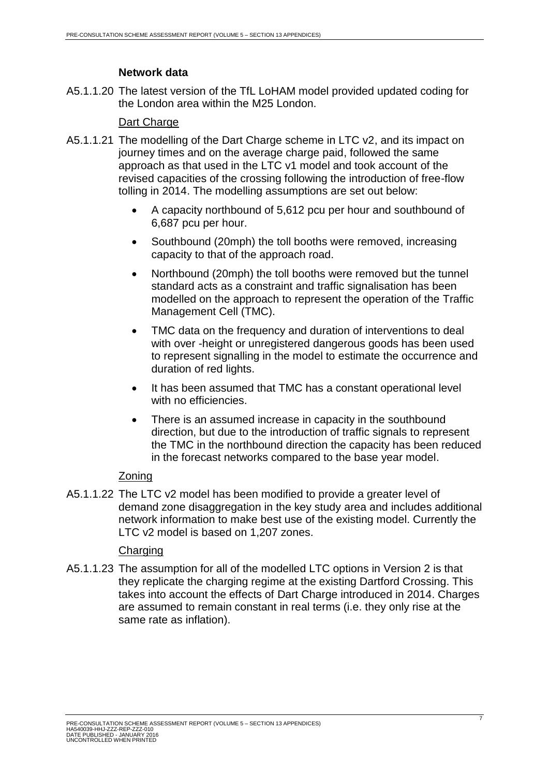# **Network data**

A5.1.1.20 The latest version of the TfL LoHAM model provided updated coding for the London area within the M25 London.

# Dart Charge

- A5.1.1.21 The modelling of the Dart Charge scheme in LTC v2, and its impact on journey times and on the average charge paid, followed the same approach as that used in the LTC v1 model and took account of the revised capacities of the crossing following the introduction of free-flow tolling in 2014. The modelling assumptions are set out below:
	- A capacity northbound of 5,612 pcu per hour and southbound of 6,687 pcu per hour.
	- Southbound (20mph) the toll booths were removed, increasing capacity to that of the approach road.
	- Northbound (20mph) the toll booths were removed but the tunnel standard acts as a constraint and traffic signalisation has been modelled on the approach to represent the operation of the Traffic Management Cell (TMC).
	- TMC data on the frequency and duration of interventions to deal with over -height or unregistered dangerous goods has been used to represent signalling in the model to estimate the occurrence and duration of red lights.
	- It has been assumed that TMC has a constant operational level with no efficiencies.
	- There is an assumed increase in capacity in the southbound direction, but due to the introduction of traffic signals to represent the TMC in the northbound direction the capacity has been reduced in the forecast networks compared to the base year model.

# Zoning

A5.1.1.22 The LTC v2 model has been modified to provide a greater level of demand zone disaggregation in the key study area and includes additional network information to make best use of the existing model. Currently the LTC v2 model is based on 1,207 zones.

# **Charging**

A5.1.1.23 The assumption for all of the modelled LTC options in Version 2 is that they replicate the charging regime at the existing Dartford Crossing. This takes into account the effects of Dart Charge introduced in 2014. Charges are assumed to remain constant in real terms (i.e. they only rise at the same rate as inflation).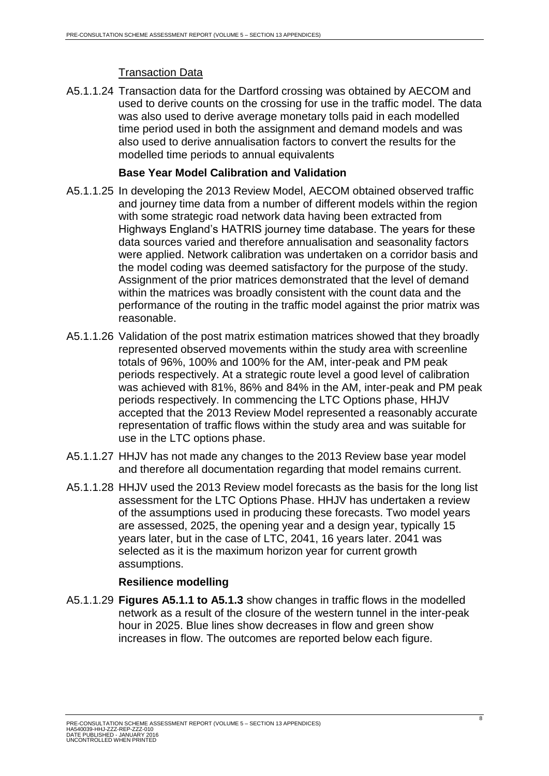# Transaction Data

A5.1.1.24 Transaction data for the Dartford crossing was obtained by AECOM and used to derive counts on the crossing for use in the traffic model. The data was also used to derive average monetary tolls paid in each modelled time period used in both the assignment and demand models and was also used to derive annualisation factors to convert the results for the modelled time periods to annual equivalents

## **Base Year Model Calibration and Validation**

- A5.1.1.25 In developing the 2013 Review Model, AECOM obtained observed traffic and journey time data from a number of different models within the region with some strategic road network data having been extracted from Highways England's HATRIS journey time database. The years for these data sources varied and therefore annualisation and seasonality factors were applied. Network calibration was undertaken on a corridor basis and the model coding was deemed satisfactory for the purpose of the study. Assignment of the prior matrices demonstrated that the level of demand within the matrices was broadly consistent with the count data and the performance of the routing in the traffic model against the prior matrix was reasonable.
- A5.1.1.26 Validation of the post matrix estimation matrices showed that they broadly represented observed movements within the study area with screenline totals of 96%, 100% and 100% for the AM, inter-peak and PM peak periods respectively. At a strategic route level a good level of calibration was achieved with 81%, 86% and 84% in the AM, inter-peak and PM peak periods respectively. In commencing the LTC Options phase, HHJV accepted that the 2013 Review Model represented a reasonably accurate representation of traffic flows within the study area and was suitable for use in the LTC options phase.
- A5.1.1.27 HHJV has not made any changes to the 2013 Review base year model and therefore all documentation regarding that model remains current.
- A5.1.1.28 HHJV used the 2013 Review model forecasts as the basis for the long list assessment for the LTC Options Phase. HHJV has undertaken a review of the assumptions used in producing these forecasts. Two model years are assessed, 2025, the opening year and a design year, typically 15 years later, but in the case of LTC, 2041, 16 years later. 2041 was selected as it is the maximum horizon year for current growth assumptions.

# **Resilience modelling**

A5.1.1.29 **Figures A5.1.1 to A5.1.3** show changes in traffic flows in the modelled network as a result of the closure of the western tunnel in the inter-peak hour in 2025. Blue lines show decreases in flow and green show increases in flow. The outcomes are reported below each figure.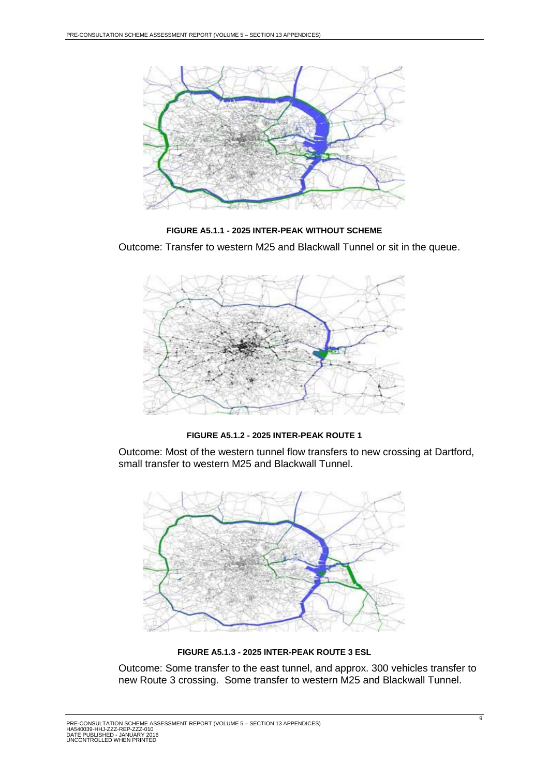

**FIGURE A5.1.1 - 2025 INTER-PEAK WITHOUT SCHEME**

<span id="page-9-0"></span>Outcome: Transfer to western M25 and Blackwall Tunnel or sit in the queue.



**FIGURE A5.1.2 - 2025 INTER-PEAK ROUTE 1**

<span id="page-9-1"></span>Outcome: Most of the western tunnel flow transfers to new crossing at Dartford, small transfer to western M25 and Blackwall Tunnel.



**FIGURE A5.1.3 - 2025 INTER-PEAK ROUTE 3 ESL**

<span id="page-9-2"></span>Outcome: Some transfer to the east tunnel, and approx. 300 vehicles transfer to new Route 3 crossing. Some transfer to western M25 and Blackwall Tunnel.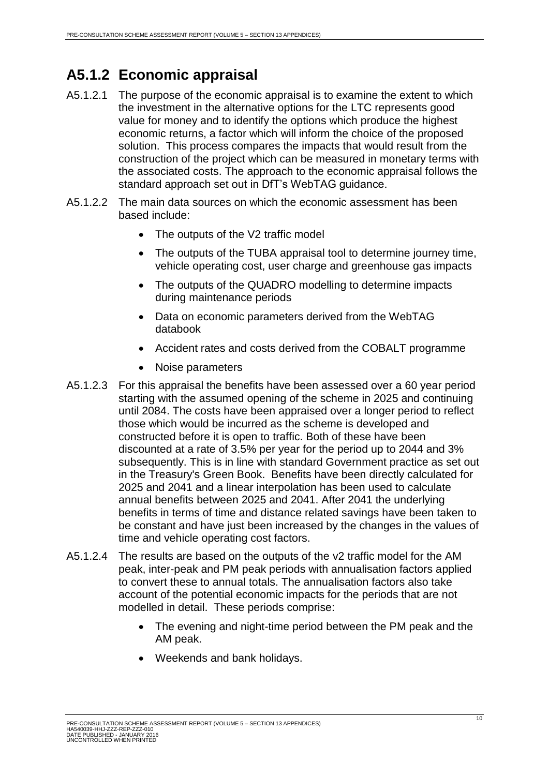# <span id="page-10-0"></span>**A5.1.2 Economic appraisal**

- A5.1.2.1 The purpose of the economic appraisal is to examine the extent to which the investment in the alternative options for the LTC represents good value for money and to identify the options which produce the highest economic returns, a factor which will inform the choice of the proposed solution. This process compares the impacts that would result from the construction of the project which can be measured in monetary terms with the associated costs. The approach to the economic appraisal follows the standard approach set out in DfT's WebTAG guidance.
- A5.1.2.2 The main data sources on which the economic assessment has been based include:
	- The outputs of the V2 traffic model
	- The outputs of the TUBA appraisal tool to determine journey time, vehicle operating cost, user charge and greenhouse gas impacts
	- The outputs of the QUADRO modelling to determine impacts during maintenance periods
	- Data on economic parameters derived from the WebTAG databook
	- Accident rates and costs derived from the COBALT programme
	- Noise parameters
- A5.1.2.3 For this appraisal the benefits have been assessed over a 60 year period starting with the assumed opening of the scheme in 2025 and continuing until 2084. The costs have been appraised over a longer period to reflect those which would be incurred as the scheme is developed and constructed before it is open to traffic. Both of these have been discounted at a rate of 3.5% per year for the period up to 2044 and 3% subsequently. This is in line with standard Government practice as set out in the Treasury's Green Book. Benefits have been directly calculated for 2025 and 2041 and a linear interpolation has been used to calculate annual benefits between 2025 and 2041. After 2041 the underlying benefits in terms of time and distance related savings have been taken to be constant and have just been increased by the changes in the values of time and vehicle operating cost factors.
- A5.1.2.4 The results are based on the outputs of the v2 traffic model for the AM peak, inter-peak and PM peak periods with annualisation factors applied to convert these to annual totals. The annualisation factors also take account of the potential economic impacts for the periods that are not modelled in detail. These periods comprise:
	- The evening and night-time period between the PM peak and the AM peak.
	- Weekends and bank holidays.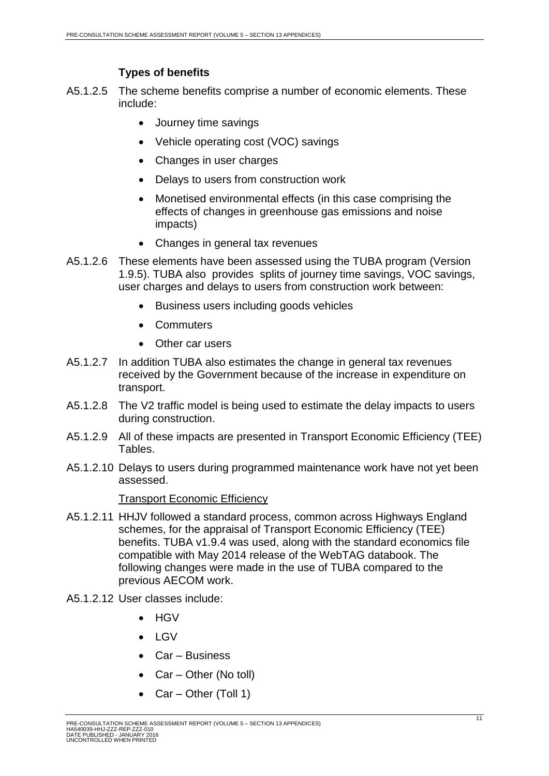# **Types of benefits**

- A5.1.2.5 The scheme benefits comprise a number of economic elements. These include:
	- Journey time savings
	- Vehicle operating cost (VOC) savings
	- Changes in user charges
	- Delays to users from construction work
	- Monetised environmental effects (in this case comprising the effects of changes in greenhouse gas emissions and noise impacts)
	- Changes in general tax revenues
- A5.1.2.6 These elements have been assessed using the TUBA program (Version 1.9.5). TUBA also provides splits of journey time savings, VOC savings, user charges and delays to users from construction work between:
	- Business users including goods vehicles
	- Commuters
	- Other car users
- A5.1.2.7 In addition TUBA also estimates the change in general tax revenues received by the Government because of the increase in expenditure on transport.
- A5.1.2.8 The V2 traffic model is being used to estimate the delay impacts to users during construction.
- A5.1.2.9 All of these impacts are presented in Transport Economic Efficiency (TEE) Tables.
- A5.1.2.10 Delays to users during programmed maintenance work have not yet been assessed.

#### Transport Economic Efficiency

- A5.1.2.11 HHJV followed a standard process, common across Highways England schemes, for the appraisal of Transport Economic Efficiency (TEE) benefits. TUBA v1.9.4 was used, along with the standard economics file compatible with May 2014 release of the WebTAG databook. The following changes were made in the use of TUBA compared to the previous AECOM work.
- A5.1.2.12 User classes include:
	- HGV
	- $\bullet$  LGV
	- Car Business
	- Car Other (No toll)
	- Car Other (Toll 1)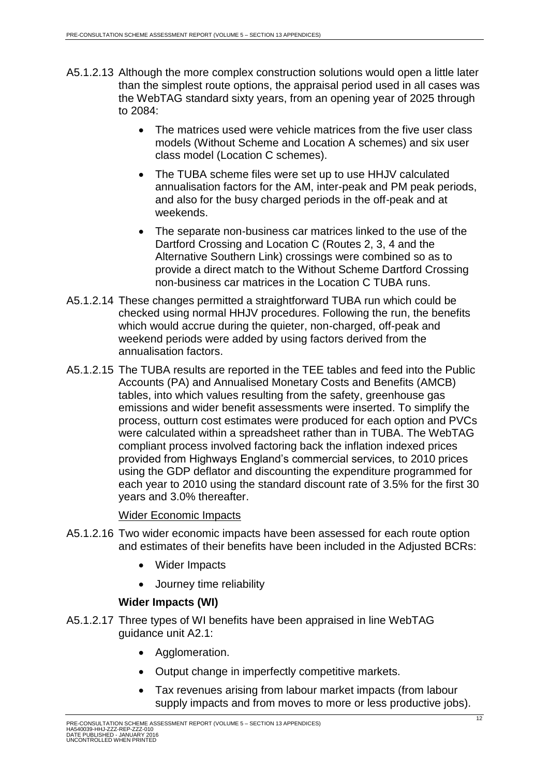- A5.1.2.13 Although the more complex construction solutions would open a little later than the simplest route options, the appraisal period used in all cases was the WebTAG standard sixty years, from an opening year of 2025 through to 2084:
	- The matrices used were vehicle matrices from the five user class models (Without Scheme and Location A schemes) and six user class model (Location C schemes).
	- The TUBA scheme files were set up to use HHJV calculated annualisation factors for the AM, inter-peak and PM peak periods, and also for the busy charged periods in the off-peak and at weekends.
	- The separate non-business car matrices linked to the use of the Dartford Crossing and Location C (Routes 2, 3, 4 and the Alternative Southern Link) crossings were combined so as to provide a direct match to the Without Scheme Dartford Crossing non-business car matrices in the Location C TUBA runs.
- A5.1.2.14 These changes permitted a straightforward TUBA run which could be checked using normal HHJV procedures. Following the run, the benefits which would accrue during the quieter, non-charged, off-peak and weekend periods were added by using factors derived from the annualisation factors.
- A5.1.2.15 The TUBA results are reported in the TEE tables and feed into the Public Accounts (PA) and Annualised Monetary Costs and Benefits (AMCB) tables, into which values resulting from the safety, greenhouse gas emissions and wider benefit assessments were inserted. To simplify the process, outturn cost estimates were produced for each option and PVCs were calculated within a spreadsheet rather than in TUBA. The WebTAG compliant process involved factoring back the inflation indexed prices provided from Highways England's commercial services, to 2010 prices using the GDP deflator and discounting the expenditure programmed for each year to 2010 using the standard discount rate of 3.5% for the first 30 years and 3.0% thereafter.

#### Wider Economic Impacts

- A5.1.2.16 Two wider economic impacts have been assessed for each route option and estimates of their benefits have been included in the Adjusted BCRs:
	- Wider Impacts
	- Journey time reliability

#### **Wider Impacts (WI)**

- A5.1.2.17 Three types of WI benefits have been appraised in line WebTAG guidance unit A2.1:
	- Agglomeration.
	- Output change in imperfectly competitive markets.
	- Tax revenues arising from labour market impacts (from labour supply impacts and from moves to more or less productive jobs).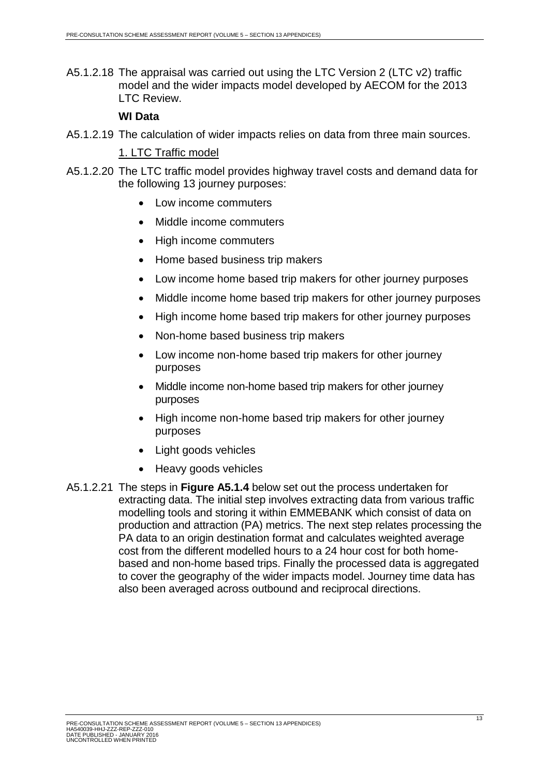A5.1.2.18 The appraisal was carried out using the LTC Version 2 (LTC v2) traffic model and the wider impacts model developed by AECOM for the 2013 LTC Review.

#### **WI Data**

A5.1.2.19 The calculation of wider impacts relies on data from three main sources.

#### 1. LTC Traffic model

- A5.1.2.20 The LTC traffic model provides highway travel costs and demand data for the following 13 journey purposes:
	- Low income commuters
	- Middle income commuters
	- High income commuters
	- Home based business trip makers
	- Low income home based trip makers for other journey purposes
	- Middle income home based trip makers for other journey purposes
	- High income home based trip makers for other journey purposes
	- Non-home based business trip makers
	- Low income non-home based trip makers for other journey purposes
	- Middle income non-home based trip makers for other journey purposes
	- High income non-home based trip makers for other journey purposes
	- Light goods vehicles
	- Heavy goods vehicles
- A5.1.2.21 The steps in **Figure A5.1.4** below set out the process undertaken for extracting data. The initial step involves extracting data from various traffic modelling tools and storing it within EMMEBANK which consist of data on production and attraction (PA) metrics. The next step relates processing the PA data to an origin destination format and calculates weighted average cost from the different modelled hours to a 24 hour cost for both homebased and non-home based trips. Finally the processed data is aggregated to cover the geography of the wider impacts model. Journey time data has also been averaged across outbound and reciprocal directions.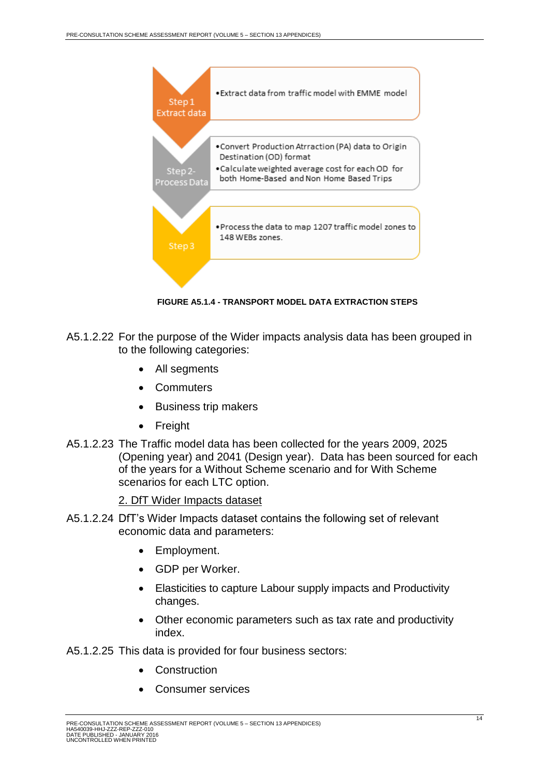

**FIGURE A5.1.4 - TRANSPORT MODEL DATA EXTRACTION STEPS**

- <span id="page-14-0"></span>A5.1.2.22 For the purpose of the Wider impacts analysis data has been grouped in to the following categories:
	- All segments
	- Commuters
	- Business trip makers
	- Freight
- A5.1.2.23 The Traffic model data has been collected for the years 2009, 2025 (Opening year) and 2041 (Design year). Data has been sourced for each of the years for a Without Scheme scenario and for With Scheme scenarios for each LTC option.

2. DfT Wider Impacts dataset

- A5.1.2.24 DfT's Wider Impacts dataset contains the following set of relevant economic data and parameters:
	- Employment.
	- GDP per Worker.
	- Elasticities to capture Labour supply impacts and Productivity changes.
	- Other economic parameters such as tax rate and productivity index.
- A5.1.2.25 This data is provided for four business sectors:
	- Construction
	- Consumer services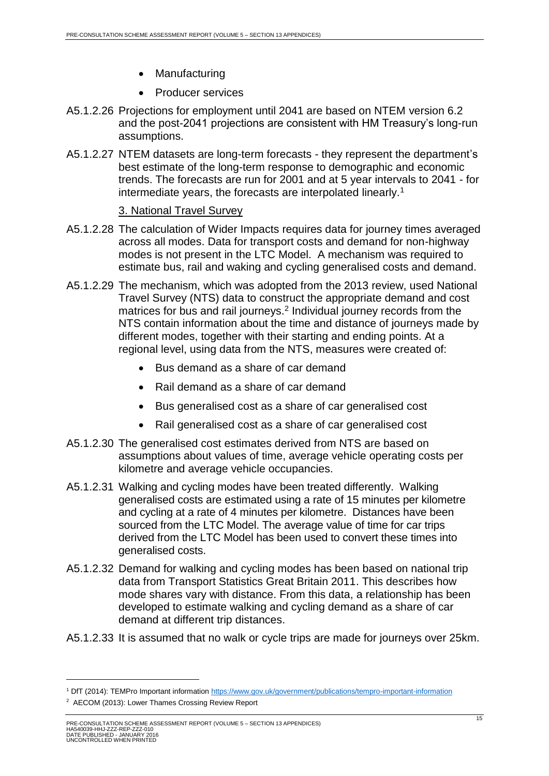- Manufacturing
- Producer services
- A5.1.2.26 Projections for employment until 2041 are based on NTEM version 6.2 and the post-2041 projections are consistent with HM Treasury's long-run assumptions.
- A5.1.2.27 NTEM datasets are long-term forecasts they represent the department's best estimate of the long-term response to demographic and economic trends. The forecasts are run for 2001 and at 5 year intervals to 2041 - for intermediate years, the forecasts are interpolated linearly.<sup>1</sup>

#### 3. National Travel Survey

- A5.1.2.28 The calculation of Wider Impacts requires data for journey times averaged across all modes. Data for transport costs and demand for non-highway modes is not present in the LTC Model. A mechanism was required to estimate bus, rail and waking and cycling generalised costs and demand.
- A5.1.2.29 The mechanism, which was adopted from the 2013 review, used National Travel Survey (NTS) data to construct the appropriate demand and cost matrices for bus and rail journeys.<sup>2</sup> Individual journey records from the NTS contain information about the time and distance of journeys made by different modes, together with their starting and ending points. At a regional level, using data from the NTS, measures were created of:
	- Bus demand as a share of car demand
	- Rail demand as a share of car demand
	- Bus generalised cost as a share of car generalised cost
	- Rail generalised cost as a share of car generalised cost
- A5.1.2.30 The generalised cost estimates derived from NTS are based on assumptions about values of time, average vehicle operating costs per kilometre and average vehicle occupancies.
- A5.1.2.31 Walking and cycling modes have been treated differently. Walking generalised costs are estimated using a rate of 15 minutes per kilometre and cycling at a rate of 4 minutes per kilometre. Distances have been sourced from the LTC Model. The average value of time for car trips derived from the LTC Model has been used to convert these times into generalised costs.
- A5.1.2.32 Demand for walking and cycling modes has been based on national trip data from Transport Statistics Great Britain 2011. This describes how mode shares vary with distance. From this data, a relationship has been developed to estimate walking and cycling demand as a share of car demand at different trip distances.
- A5.1.2.33 It is assumed that no walk or cycle trips are made for journeys over 25km.

<sup>1</sup> DfT (2014): TEMPro Important information<https://www.gov.uk/government/publications/tempro-important-information>

<sup>&</sup>lt;sup>2</sup> AECOM (2013): Lower Thames Crossing Review Report

PRE-CONSULTATION SCHEME ASSESSMENT REPORT (VOLUME 5 – SECTION 13 APPENDICES) HA540039-HHJ-ZZZ-REP-ZZZ-010 DATE PUBLISHED - JANUARY 2016 UNCONTROLLED WHEN PRINTED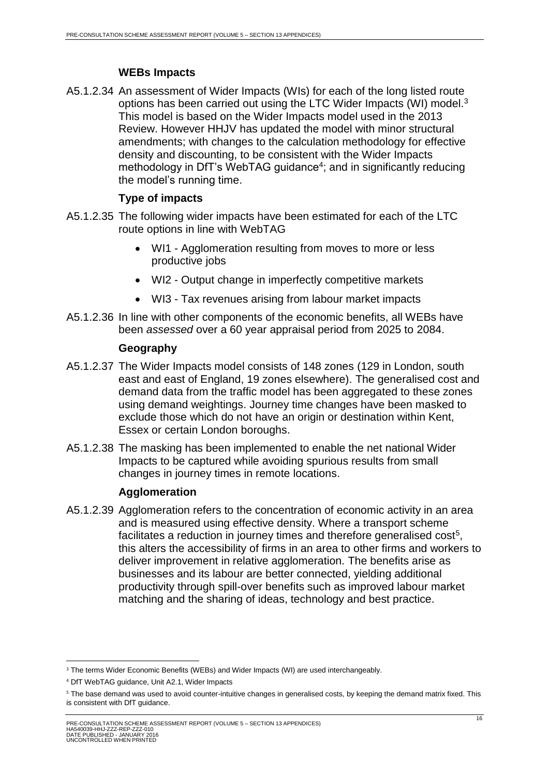# **WEBs Impacts**

A5.1.2.34 An assessment of Wider Impacts (WIs) for each of the long listed route options has been carried out using the LTC Wider Impacts (WI) model.<sup>3</sup> This model is based on the Wider Impacts model used in the 2013 Review. However HHJV has updated the model with minor structural amendments; with changes to the calculation methodology for effective density and discounting, to be consistent with the Wider Impacts methodology in DfT's WebTAG guidance<sup>4</sup>; and in significantly reducing the model's running time.

# **Type of impacts**

- A5.1.2.35 The following wider impacts have been estimated for each of the LTC route options in line with WebTAG
	- WI1 Agglomeration resulting from moves to more or less productive jobs
	- WI2 Output change in imperfectly competitive markets
	- WI3 Tax revenues arising from labour market impacts
- A5.1.2.36 In line with other components of the economic benefits, all WEBs have been *assessed* over a 60 year appraisal period from 2025 to 2084.

#### **Geography**

- A5.1.2.37 The Wider Impacts model consists of 148 zones (129 in London, south east and east of England, 19 zones elsewhere). The generalised cost and demand data from the traffic model has been aggregated to these zones using demand weightings. Journey time changes have been masked to exclude those which do not have an origin or destination within Kent, Essex or certain London boroughs.
- A5.1.2.38 The masking has been implemented to enable the net national Wider Impacts to be captured while avoiding spurious results from small changes in journey times in remote locations.

# **Agglomeration**

A5.1.2.39 Agglomeration refers to the concentration of economic activity in an area and is measured using effective density. Where a transport scheme facilitates a reduction in journey times and therefore generalised cost<sup>5</sup>, this alters the accessibility of firms in an area to other firms and workers to deliver improvement in relative agglomeration. The benefits arise as businesses and its labour are better connected, yielding additional productivity through spill-over benefits such as improved labour market matching and the sharing of ideas, technology and best practice.

**<sup>.</sup>** <sup>3</sup> The terms Wider Economic Benefits (WEBs) and Wider Impacts (WI) are used interchangeably.

<sup>4</sup> DfT WebTAG guidance, Unit A2.1, Wider Impacts

<sup>&</sup>lt;sup>5</sup> The base demand was used to avoid counter-intuitive changes in generalised costs, by keeping the demand matrix fixed. This is consistent with DfT guidance.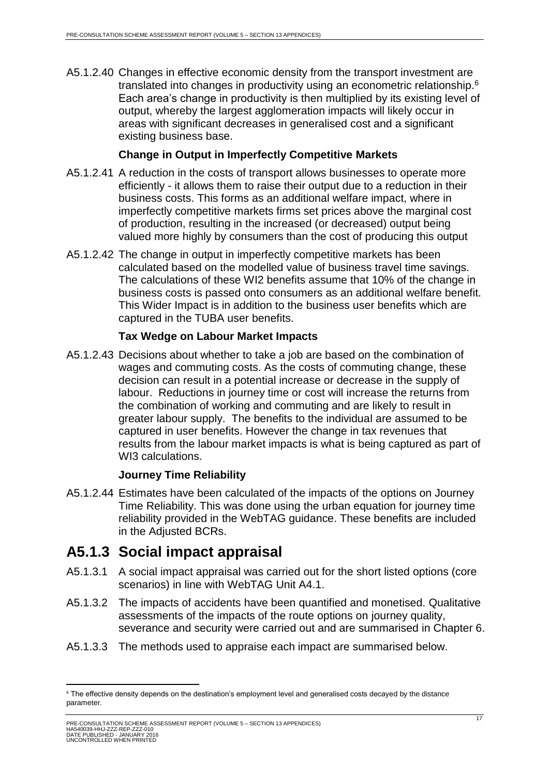A5.1.2.40 Changes in effective economic density from the transport investment are translated into changes in productivity using an econometric relationship.<sup>6</sup> Each area's change in productivity is then multiplied by its existing level of output, whereby the largest agglomeration impacts will likely occur in areas with significant decreases in generalised cost and a significant existing business base.

## **Change in Output in Imperfectly Competitive Markets**

- A5.1.2.41 A reduction in the costs of transport allows businesses to operate more efficiently - it allows them to raise their output due to a reduction in their business costs. This forms as an additional welfare impact, where in imperfectly competitive markets firms set prices above the marginal cost of production, resulting in the increased (or decreased) output being valued more highly by consumers than the cost of producing this output
- A5.1.2.42 The change in output in imperfectly competitive markets has been calculated based on the modelled value of business travel time savings. The calculations of these WI2 benefits assume that 10% of the change in business costs is passed onto consumers as an additional welfare benefit. This Wider Impact is in addition to the business user benefits which are captured in the TUBA user benefits.

#### **Tax Wedge on Labour Market Impacts**

A5.1.2.43 Decisions about whether to take a job are based on the combination of wages and commuting costs. As the costs of commuting change, these decision can result in a potential increase or decrease in the supply of labour. Reductions in journey time or cost will increase the returns from the combination of working and commuting and are likely to result in greater labour supply. The benefits to the individual are assumed to be captured in user benefits. However the change in tax revenues that results from the labour market impacts is what is being captured as part of WI3 calculations.

#### **Journey Time Reliability**

A5.1.2.44 Estimates have been calculated of the impacts of the options on Journey Time Reliability. This was done using the urban equation for journey time reliability provided in the WebTAG guidance. These benefits are included in the Adjusted BCRs.

# <span id="page-17-0"></span>**A5.1.3 Social impact appraisal**

- A5.1.3.1 A social impact appraisal was carried out for the short listed options (core scenarios) in line with WebTAG Unit A4.1.
- A5.1.3.2 The impacts of accidents have been quantified and monetised. Qualitative assessments of the impacts of the route options on journey quality, severance and security were carried out and are summarised in Chapter 6.
- A5.1.3.3 The methods used to appraise each impact are summarised below.

<sup>1</sup> <sup>6</sup> The effective density depends on the destination's employment level and generalised costs decayed by the distance parameter.

PRE-CONSULTATION SCHEME ASSESSMENT REPORT (VOLUME 5 – SECTION 13 APPENDICES) HA540039-HHJ-ZZZ-REP-ZZZ-010 DATE PUBLISHED - JANUARY 2016 UNCONTROLLED WHEN PRINTED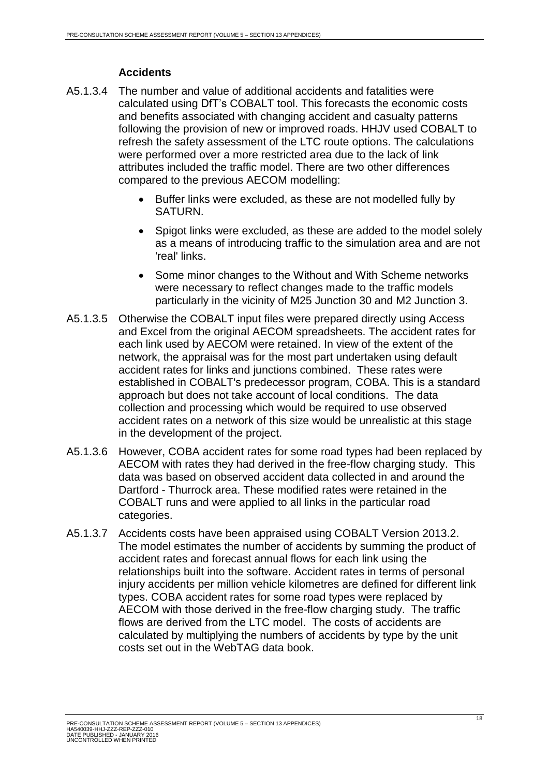# **Accidents**

- A5.1.3.4 The number and value of additional accidents and fatalities were calculated using DfT's COBALT tool. This forecasts the economic costs and benefits associated with changing accident and casualty patterns following the provision of new or improved roads. HHJV used COBALT to refresh the safety assessment of the LTC route options. The calculations were performed over a more restricted area due to the lack of link attributes included the traffic model. There are two other differences compared to the previous AECOM modelling:
	- Buffer links were excluded, as these are not modelled fully by SATURN.
	- Spigot links were excluded, as these are added to the model solely as a means of introducing traffic to the simulation area and are not 'real' links.
	- Some minor changes to the Without and With Scheme networks were necessary to reflect changes made to the traffic models particularly in the vicinity of M25 Junction 30 and M2 Junction 3.
- A5.1.3.5 Otherwise the COBALT input files were prepared directly using Access and Excel from the original AECOM spreadsheets. The accident rates for each link used by AECOM were retained. In view of the extent of the network, the appraisal was for the most part undertaken using default accident rates for links and junctions combined. These rates were established in COBALT's predecessor program, COBA. This is a standard approach but does not take account of local conditions. The data collection and processing which would be required to use observed accident rates on a network of this size would be unrealistic at this stage in the development of the project.
- A5.1.3.6 However, COBA accident rates for some road types had been replaced by AECOM with rates they had derived in the free-flow charging study. This data was based on observed accident data collected in and around the Dartford - Thurrock area. These modified rates were retained in the COBALT runs and were applied to all links in the particular road categories.
- A5.1.3.7 Accidents costs have been appraised using COBALT Version 2013.2. The model estimates the number of accidents by summing the product of accident rates and forecast annual flows for each link using the relationships built into the software. Accident rates in terms of personal injury accidents per million vehicle kilometres are defined for different link types. COBA accident rates for some road types were replaced by AECOM with those derived in the free-flow charging study. The traffic flows are derived from the LTC model. The costs of accidents are calculated by multiplying the numbers of accidents by type by the unit costs set out in the WebTAG data book.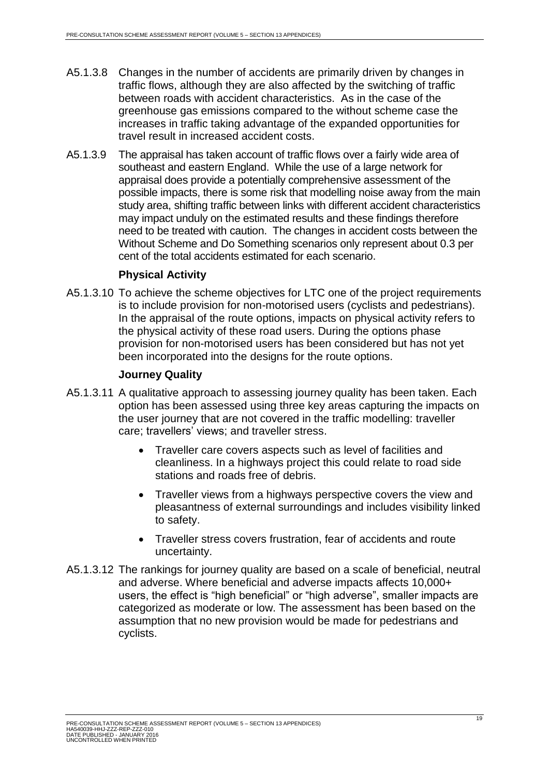- A5.1.3.8 Changes in the number of accidents are primarily driven by changes in traffic flows, although they are also affected by the switching of traffic between roads with accident characteristics. As in the case of the greenhouse gas emissions compared to the without scheme case the increases in traffic taking advantage of the expanded opportunities for travel result in increased accident costs.
- A5.1.3.9 The appraisal has taken account of traffic flows over a fairly wide area of southeast and eastern England. While the use of a large network for appraisal does provide a potentially comprehensive assessment of the possible impacts, there is some risk that modelling noise away from the main study area, shifting traffic between links with different accident characteristics may impact unduly on the estimated results and these findings therefore need to be treated with caution. The changes in accident costs between the Without Scheme and Do Something scenarios only represent about 0.3 per cent of the total accidents estimated for each scenario.

#### **Physical Activity**

A5.1.3.10 To achieve the scheme objectives for LTC one of the project requirements is to include provision for non-motorised users (cyclists and pedestrians). In the appraisal of the route options, impacts on physical activity refers to the physical activity of these road users. During the options phase provision for non-motorised users has been considered but has not yet been incorporated into the designs for the route options.

## **Journey Quality**

- A5.1.3.11 A qualitative approach to assessing journey quality has been taken. Each option has been assessed using three key areas capturing the impacts on the user journey that are not covered in the traffic modelling: traveller care; travellers' views; and traveller stress.
	- Traveller care covers aspects such as level of facilities and cleanliness. In a highways project this could relate to road side stations and roads free of debris.
	- Traveller views from a highways perspective covers the view and pleasantness of external surroundings and includes visibility linked to safety.
	- Traveller stress covers frustration, fear of accidents and route uncertainty.
- A5.1.3.12 The rankings for journey quality are based on a scale of beneficial, neutral and adverse. Where beneficial and adverse impacts affects 10,000+ users, the effect is "high beneficial" or "high adverse", smaller impacts are categorized as moderate or low. The assessment has been based on the assumption that no new provision would be made for pedestrians and cyclists.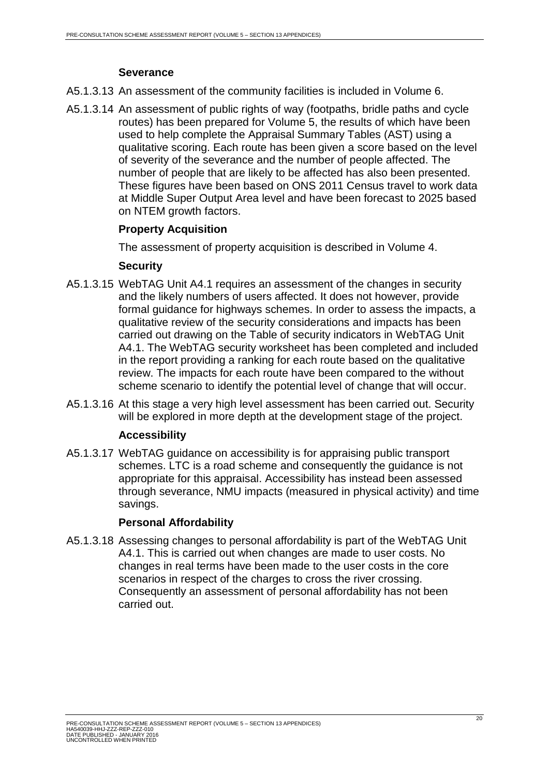# **Severance**

A5.1.3.13 An assessment of the community facilities is included in Volume 6.

A5.1.3.14 An assessment of public rights of way (footpaths, bridle paths and cycle routes) has been prepared for Volume 5, the results of which have been used to help complete the Appraisal Summary Tables (AST) using a qualitative scoring. Each route has been given a score based on the level of severity of the severance and the number of people affected. The number of people that are likely to be affected has also been presented. These figures have been based on ONS 2011 Census travel to work data at Middle Super Output Area level and have been forecast to 2025 based on NTEM growth factors.

# **Property Acquisition**

The assessment of property acquisition is described in Volume 4.

# **Security**

- A5.1.3.15 WebTAG Unit A4.1 requires an assessment of the changes in security and the likely numbers of users affected. It does not however, provide formal guidance for highways schemes. In order to assess the impacts, a qualitative review of the security considerations and impacts has been carried out drawing on the Table of security indicators in WebTAG Unit A4.1. The WebTAG security worksheet has been completed and included in the report providing a ranking for each route based on the qualitative review. The impacts for each route have been compared to the without scheme scenario to identify the potential level of change that will occur.
- A5.1.3.16 At this stage a very high level assessment has been carried out. Security will be explored in more depth at the development stage of the project.

# **Accessibility**

A5.1.3.17 WebTAG guidance on accessibility is for appraising public transport schemes. LTC is a road scheme and consequently the guidance is not appropriate for this appraisal. Accessibility has instead been assessed through severance, NMU impacts (measured in physical activity) and time savings.

# **Personal Affordability**

A5.1.3.18 Assessing changes to personal affordability is part of the WebTAG Unit A4.1. This is carried out when changes are made to user costs. No changes in real terms have been made to the user costs in the core scenarios in respect of the charges to cross the river crossing. Consequently an assessment of personal affordability has not been carried out.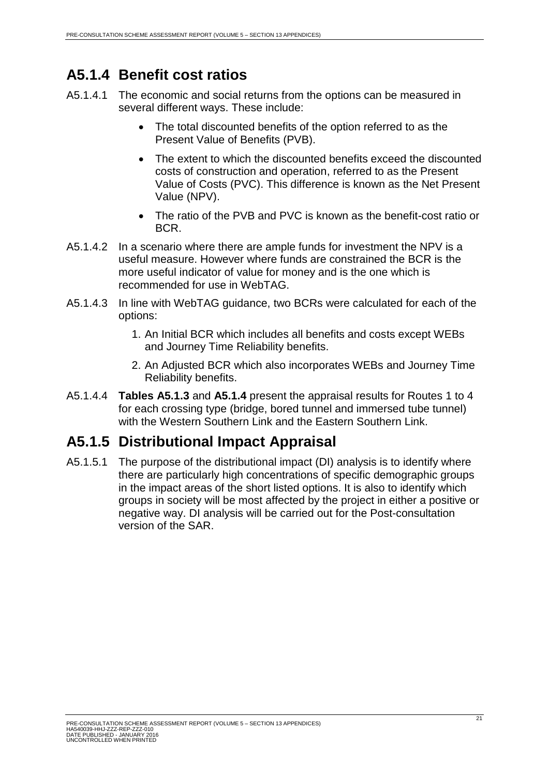# <span id="page-21-0"></span>**A5.1.4 Benefit cost ratios**

- A5.1.4.1 The economic and social returns from the options can be measured in several different ways. These include:
	- The total discounted benefits of the option referred to as the Present Value of Benefits (PVB).
	- The extent to which the discounted benefits exceed the discounted costs of construction and operation, referred to as the Present Value of Costs (PVC). This difference is known as the Net Present Value (NPV).
	- The ratio of the PVB and PVC is known as the benefit-cost ratio or BCR.
- A5.1.4.2 In a scenario where there are ample funds for investment the NPV is a useful measure. However where funds are constrained the BCR is the more useful indicator of value for money and is the one which is recommended for use in WebTAG.
- A5.1.4.3 In line with WebTAG guidance, two BCRs were calculated for each of the options:
	- 1. An Initial BCR which includes all benefits and costs except WEBs and Journey Time Reliability benefits.
	- 2. An Adjusted BCR which also incorporates WEBs and Journey Time Reliability benefits.
- A5.1.4.4 **Tables A5.1.3** and **A5.1.4** present the appraisal results for Routes 1 to 4 for each crossing type (bridge, bored tunnel and immersed tube tunnel) with the Western Southern Link and the Eastern Southern Link.

# <span id="page-21-1"></span>**A5.1.5 Distributional Impact Appraisal**

A5.1.5.1 The purpose of the distributional impact (DI) analysis is to identify where there are particularly high concentrations of specific demographic groups in the impact areas of the short listed options. It is also to identify which groups in society will be most affected by the project in either a positive or negative way. DI analysis will be carried out for the Post-consultation version of the SAR.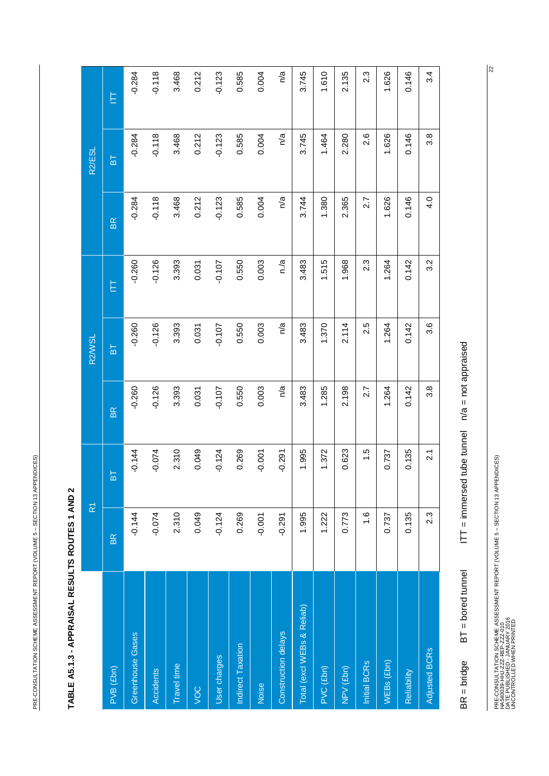<span id="page-22-0"></span>PRE-CONSULTATION SCHEME ASSESSMENT REPORT (VOLUME 5 - SECTION 13 APPENDICES) PRE-CONSULTATION SCHEME ASSESSMENT REPORT (VOLUME 5 – SECTION 13 APPENDICES)

| I                                                           |
|-------------------------------------------------------------|
|                                                             |
|                                                             |
|                                                             |
|                                                             |
| l                                                           |
|                                                             |
|                                                             |
|                                                             |
|                                                             |
|                                                             |
|                                                             |
|                                                             |
|                                                             |
| l                                                           |
|                                                             |
|                                                             |
|                                                             |
| 1                                                           |
|                                                             |
|                                                             |
|                                                             |
| ֖֖֖֧ׅ֧֖֖֧֖֖֧֧֚֚֚֚֚֚֚֚֚֚֚֚֚֚֚֚֚֚֚֚֚֚֚֚֚֚֚֚֚֚֚֚֬֝֝֬֝֓֝֓֞֬֝֓֞֝ |
| ı                                                           |
|                                                             |
|                                                             |
|                                                             |
|                                                             |
|                                                             |
|                                                             |
|                                                             |
|                                                             |

|                            | $\overline{\mathbf{R}}$ |                 |                  | R <sub>2</sub> W <sub>SL</sub> |                  |               | R <sub>2</sub> /ESL |          |
|----------------------------|-------------------------|-----------------|------------------|--------------------------------|------------------|---------------|---------------------|----------|
| PVB (£bn)                  | <b>BR</b>               | 눕               | <b>BR</b>        | 눕                              | Ê                | BR.           | БĪ                  | Ê        |
| Greenhouse Gases           | $-0.144$                | $-0.144$        | $-0.260$         | $-0.260$                       | $-0.260$         | $-0.284$      | $-0.284$            | $-0.284$ |
| Accidents                  | $-0.074$                | $-0.074$        | $-0.126$         | $-0.126$                       | $-0.126$         | $-0.118$      | $-0.118$            | $-0.118$ |
| Travel time                | 2.310                   | 2.310           | 3.393            | 3.393                          | 3.393            | 3.468         | 3.468               | 3.468    |
| VOC                        | 0.049                   | 0.049           | 0.031            | 0.031                          | 0.031            | 0.212         | 0.212               | 0.212    |
| User charges               | $-0.124$                | $-0.124$        | $-0.107$         | $-0.107$                       | $-0.107$         | $-0.123$      | $-0.123$            | $-0.123$ |
| Indirect Taxation          | 0.269                   | 0.269           | 0.550            | 0.550                          | 0.550            | 0.585         | 0.585               | 0.585    |
| Noise                      | $-0.001$                | $-0.001$        | 0.003            | 0.003                          | 0.003            | 0.004         | 0.004               | 0.004    |
| Construction delays        | $-0.291$                | $-0.291$        | n/a              | n/a                            | n./a             | n/a           | n/a                 | n/a      |
| Total (excl WEBs & Reliab) | 1.995                   | 1.995           | 3.483            | 3.483                          | 3.483            | 3.744         | 3.745               | 3.745    |
| PVC (£bn)                  | 1.222                   | 1.372           | 1.285            | 1.370                          | 1.515            | 1.380         | 1.464               | 1.610    |
| NPV (£bn)                  | 0.773                   | 0.623           | 2.198            | 2.114                          | 1.968            | 2.365         | 2.280               | 2.135    |
| Initial BCR <sub>S</sub>   | $\frac{6}{1}$           | 1.5             | 2.7              | 2.5                            | 2.3              | 2.7           | 2.6                 | 2.3      |
| $WEBs$ (£bn)               | 0.737                   | 0.737           | 1.264            | 1.264                          | 1.264            | 1.626         | 1.626               | 1.626    |
| Reliability                | 0.135                   | 0.135           | 0.142            | 0.142                          | 0.142            | 0.146         | 0.146               | 0.146    |
| Adjusted BCRs              | $2.\overline{3}$        | $\overline{21}$ | $3.\overline{8}$ | 3.6                            | $3.\overline{2}$ | $\frac{0}{4}$ | 3.8                 | 3.4      |
|                            |                         |                 |                  |                                |                  |               |                     |          |

 $IT =$  immersed tube tunnel  $n/a =$  not appraised BR = bridge BT = bored tunnel ITT = immersed tube tunnel  $n/a$  = not appraised  $BT = bored$  tunnel  $BR = bridge$ 

PRE-CONSULTATION SCHEME ASSESSMENT REPORT (VOLUME 5 – SECTION 13 APPENDICES)<br>HAS40039-HHJ-ZZZ-REP-ZZZ-010<br>DACONTROLLED WHEN PRINTED PRE-CONSULTATION SCHEME ASSESSMENT REPORT (VOLUME 5 – SECTION 13 APPENDICES) DATE PUBLISHED - JANUARY 2016 UNCONTROLLED WHEN PRINTED HA540039-HHJ-ZZZ-REP-ZZZ-010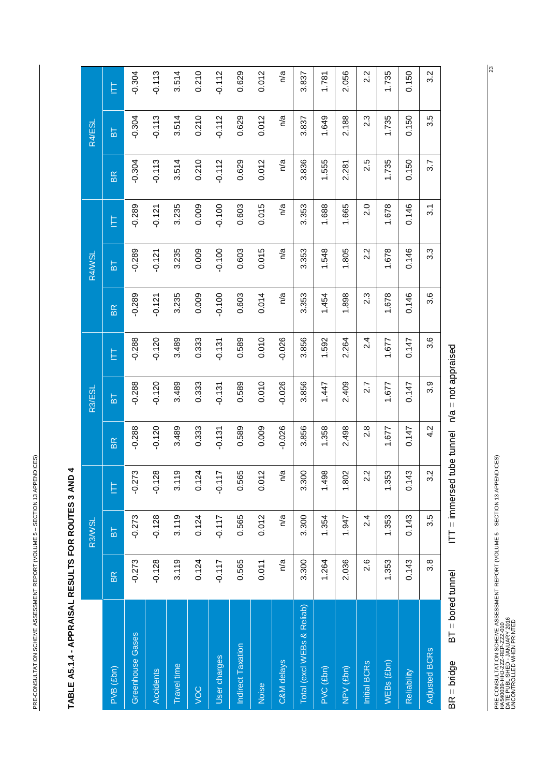<span id="page-23-0"></span>PRE-CONSULTATION SCHEME ASSESSMENT REPORT (VOLUME 5 - SECTION 13 APPENDICES) PRE-CONSULTATION SCHEME ASSESSMENT REPORT (VOLUME 5 – SECTION 13 APPENDICES)

| l                                                                                        |
|------------------------------------------------------------------------------------------|
|                                                                                          |
|                                                                                          |
|                                                                                          |
|                                                                                          |
|                                                                                          |
|                                                                                          |
|                                                                                          |
|                                                                                          |
|                                                                                          |
|                                                                                          |
|                                                                                          |
| :                                                                                        |
|                                                                                          |
| $\mathcal{L}(\mathcal{L})$ and $\mathcal{L}(\mathcal{L})$ and $\mathcal{L}(\mathcal{L})$ |
|                                                                                          |
|                                                                                          |
|                                                                                          |
| l                                                                                        |
|                                                                                          |
|                                                                                          |
|                                                                                          |
| I                                                                                        |
|                                                                                          |
|                                                                                          |
| I<br>ı                                                                                   |
|                                                                                          |
|                                                                                          |
|                                                                                          |
|                                                                                          |
| ı                                                                                        |
|                                                                                          |
|                                                                                          |
|                                                                                          |
|                                                                                          |

|                            |                     | R3/WSL          |                                 |           | R3/ESL                          |          |           | R4/WSL   |          |           | R4/ESL         |          |
|----------------------------|---------------------|-----------------|---------------------------------|-----------|---------------------------------|----------|-----------|----------|----------|-----------|----------------|----------|
| PVB <sub>(Ebn)</sub>       | BR                  | $\overline{B}$  | E                               | <b>BR</b> | $\overline{a}$                  | Ê        | <b>BR</b> | 눕        | Ê        | <b>BR</b> | $\overline{B}$ | E        |
| <b>Greenhouse Gases</b>    | $-0.273$            | $-0.273$        | $-0.273$                        | $-0.288$  | $-0.288$                        | $-0.288$ | $-0.289$  | $-0.289$ | $-0.289$ | $-0.304$  | $-0.304$       | $-0.304$ |
| Accidents                  | $-0.128$            | $-0.128$        | $-0.128$                        | $-0.120$  | $-0.120$                        | $-0.120$ | $-0.121$  | $-0.121$ | $-0.121$ | $-0.113$  | $-0.113$       | $-0.113$ |
| Travel time                | 3.119               | 3.119           | 3.119                           | 3.489     | 3.489                           | 3.489    | 3.235     | 3.235    | 3.235    | 3.514     | 3.514          | 3.514    |
| VOC                        | 0.124               | 0.124           | $\overline{2}$<br>$\frac{1}{2}$ | 0.333     | 0.333                           | 0.333    | 0.009     | 0.009    | 0.009    | 0.210     | 0.210          | 0.210    |
| User charges               | $-0.117$            | $-0.117$        | $-0.117$                        | $-0.131$  | $-0.131$                        | $-0.131$ | $-0.100$  | $-0.100$ | $-0.100$ | $-0.112$  | $-0.112$       | $-0.112$ |
| Indirect Taxation          | 0.565               | 0.565           | 0.565                           | 0.589     | 0.589                           | 0.589    | 0.603     | 0.603    | 0.603    | 0.629     | 0.629          | 0.629    |
| Noise                      | 0.011               | 0.012           | 0.012                           | 0.009     | 0.010                           | 0.010    | 0.014     | 0.015    | 0.015    | 0.012     | 0.012          | 0.012    |
| C&M delays                 | n/a                 | n/a             | n/a                             | $-0.026$  | $-0.026$                        | $-0.026$ | n/a       | n/a      | n/a      | n/a       | n/a            | n/a      |
| Total (excl WEBs & Reliab) | 3.300               | 3.300           | 3.300                           | 3.856     | 3.856                           | 3.856    | 3.353     | 3.353    | 3.353    | 3.836     | 3.837          | 3.837    |
| PVC (£bn)                  | 1.264               | 1.354           | 1.498                           | 1.358     | 1.447                           | 1.592    | 1.454     | 1.548    | 1.688    | 1.555     | 1.649          | 1.781    |
| NPV (£bn)                  | 2.036               | 1.947           | 1.802                           | 2.498     | 2.409                           | 2.264    | 1.898     | 1.805    | 1.665    | 2.281     | 2.188          | 2.056    |
| Initial BCR <sub>S</sub>   | 2.6                 | 2.4             | 2.2                             | 2.8       | 2.7                             | 2.4      | 2.3       | 2.2      | 2.0      | 2.5       | 2.3            | 2.2      |
| $WEBs$ $(Ebn)$             | 1.353               | 1.353           | 1.353                           | 1.677     | 1.677                           | 1.677    | 1.678     | 1.678    | 1.678    | 1.735     | 1.735          | 1.735    |
| <b>Reliability</b>         | 0.143               | 0.143           | 43<br>Ğ                         | 0.147     | 0.147                           | 0.147    | 0.146     | 0.146    | 0.146    | 0.150     | 0.150          | 0.150    |
| <b>Adjusted BCRs</b>       | $3.\overline{8}$    | 3.5             | 3.2                             | 4.2       | 3.9                             | 3.6      | 3.6       | 3.3      | 3.1      | 3.7       | 3.5            | 3.2      |
| $BR = bridge$              | $BT = bored$ tunnel | $IT = immersed$ |                                 |           | tube tunnel n/a = not appraised |          |           |          |          |           |                |          |

PRE-CONSULTATION SCHEME ASSESSMENT REPORT (VOLUME 5 – SECTION 13 APPENDICES)<br>HAS40039-HHJ-ZZZ-REP-ZZZ-010<br>DATE PUBLISHED - JANUARY 2016<br>UNCONTROLLED WHEN PRINTED PRE-CONSULTATION SCHEME ASSESSMENT REPORT (VOLUME 5 – SECTION 13 APPENDICES) DATE PUBLISHED - JANUARY 2016 HA540039-HHJ-ZZZ-REP-ZZZ-010

UNCONTROLLED WHEN PRINTED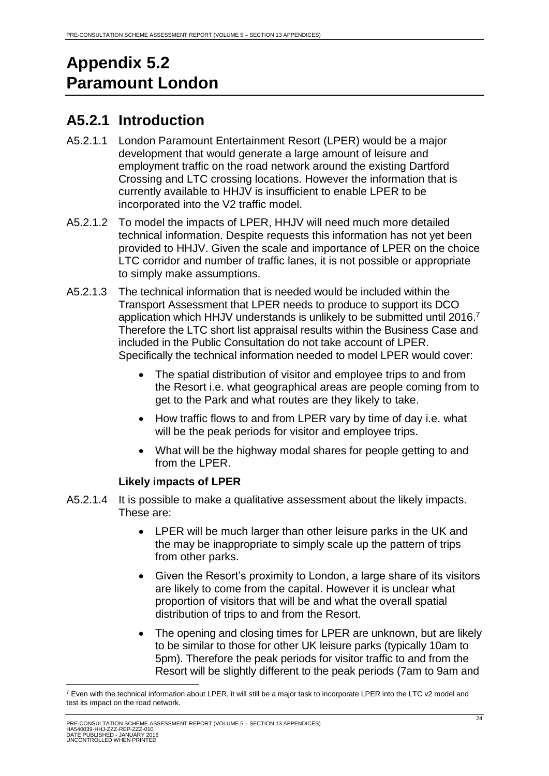# <span id="page-24-0"></span>**Appendix 5.2 Paramount London**

# <span id="page-24-1"></span>**A5.2.1 Introduction**

- A5.2.1.1 London Paramount Entertainment Resort (LPER) would be a major development that would generate a large amount of leisure and employment traffic on the road network around the existing Dartford Crossing and LTC crossing locations. However the information that is currently available to HHJV is insufficient to enable LPER to be incorporated into the V2 traffic model.
- A5.2.1.2 To model the impacts of LPER, HHJV will need much more detailed technical information. Despite requests this information has not yet been provided to HHJV. Given the scale and importance of LPER on the choice LTC corridor and number of traffic lanes, it is not possible or appropriate to simply make assumptions.
- A5.2.1.3 The technical information that is needed would be included within the Transport Assessment that LPER needs to produce to support its DCO application which HHJV understands is unlikely to be submitted until 2016. 7 Therefore the LTC short list appraisal results within the Business Case and included in the Public Consultation do not take account of LPER. Specifically the technical information needed to model LPER would cover:
	- The spatial distribution of visitor and employee trips to and from the Resort i.e. what geographical areas are people coming from to get to the Park and what routes are they likely to take.
	- How traffic flows to and from LPER vary by time of day i.e. what will be the peak periods for visitor and employee trips.
	- What will be the highway modal shares for people getting to and from the LPER.

# **Likely impacts of LPER**

- A5.2.1.4 It is possible to make a qualitative assessment about the likely impacts. These are:
	- LPER will be much larger than other leisure parks in the UK and the may be inappropriate to simply scale up the pattern of trips from other parks.
	- Given the Resort's proximity to London, a large share of its visitors are likely to come from the capital. However it is unclear what proportion of visitors that will be and what the overall spatial distribution of trips to and from the Resort.
	- The opening and closing times for LPER are unknown, but are likely to be similar to those for other UK leisure parks (typically 10am to 5pm). Therefore the peak periods for visitor traffic to and from the Resort will be slightly different to the peak periods (7am to 9am and

<sup>1</sup>  $^7$  Even with the technical information about LPER, it will still be a major task to incorporate LPER into the LTC  $v2$  model and test its impact on the road network.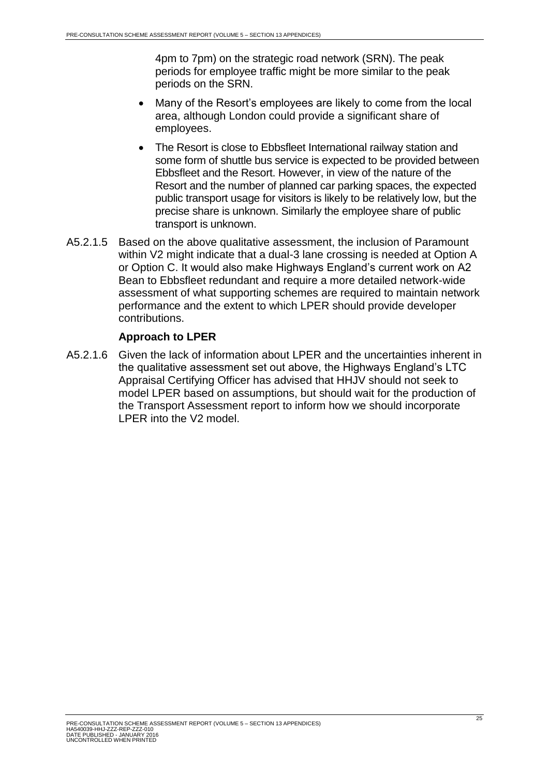4pm to 7pm) on the strategic road network (SRN). The peak periods for employee traffic might be more similar to the peak periods on the SRN.

- Many of the Resort's employees are likely to come from the local area, although London could provide a significant share of employees.
- The Resort is close to Ebbsfleet International railway station and some form of shuttle bus service is expected to be provided between Ebbsfleet and the Resort. However, in view of the nature of the Resort and the number of planned car parking spaces, the expected public transport usage for visitors is likely to be relatively low, but the precise share is unknown. Similarly the employee share of public transport is unknown.
- A5.2.1.5 Based on the above qualitative assessment, the inclusion of Paramount within V2 might indicate that a dual-3 lane crossing is needed at Option A or Option C. It would also make Highways England's current work on A2 Bean to Ebbsfleet redundant and require a more detailed network-wide assessment of what supporting schemes are required to maintain network performance and the extent to which LPER should provide developer contributions.

#### **Approach to LPER**

A5.2.1.6 Given the lack of information about LPER and the uncertainties inherent in the qualitative assessment set out above, the Highways England's LTC Appraisal Certifying Officer has advised that HHJV should not seek to model LPER based on assumptions, but should wait for the production of the Transport Assessment report to inform how we should incorporate LPER into the V2 model.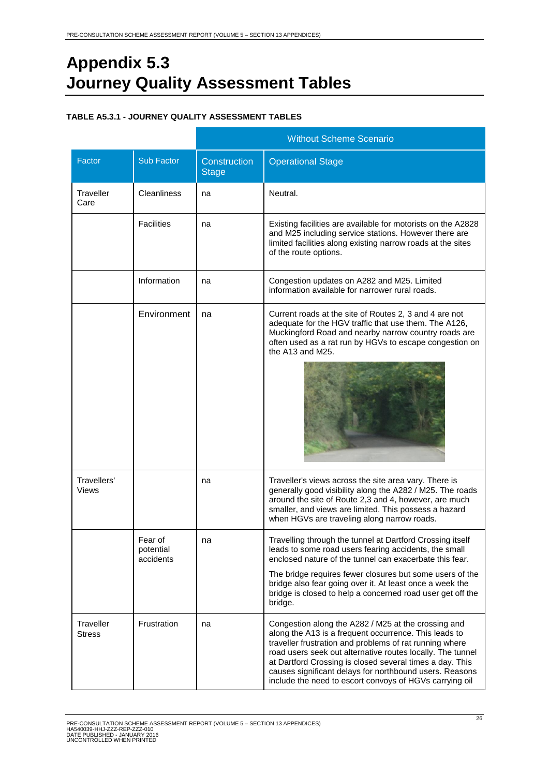# <span id="page-26-0"></span>**Appendix 5.3 Journey Quality Assessment Tables**

#### <span id="page-26-1"></span>**TABLE A5.3.1 - JOURNEY QUALITY ASSESSMENT TABLES**

|                      |                                   |                              | <b>Without Scheme Scenario</b>                                                                                                                                                                                                                                                                                                                                                                                          |
|----------------------|-----------------------------------|------------------------------|-------------------------------------------------------------------------------------------------------------------------------------------------------------------------------------------------------------------------------------------------------------------------------------------------------------------------------------------------------------------------------------------------------------------------|
| Factor               | <b>Sub Factor</b>                 | Construction<br><b>Stage</b> | <b>Operational Stage</b>                                                                                                                                                                                                                                                                                                                                                                                                |
| Traveller<br>Care    | Cleanliness                       | na                           | Neutral.                                                                                                                                                                                                                                                                                                                                                                                                                |
|                      | <b>Facilities</b>                 | na                           | Existing facilities are available for motorists on the A2828<br>and M25 including service stations. However there are<br>limited facilities along existing narrow roads at the sites<br>of the route options.                                                                                                                                                                                                           |
|                      | Information                       | na                           | Congestion updates on A282 and M25. Limited<br>information available for narrower rural roads.                                                                                                                                                                                                                                                                                                                          |
|                      | Environment                       | na                           | Current roads at the site of Routes 2, 3 and 4 are not<br>adequate for the HGV traffic that use them. The A126,<br>Muckingford Road and nearby narrow country roads are<br>often used as a rat run by HGVs to escape congestion on<br>the A13 and M25.                                                                                                                                                                  |
| Travellers'<br>Views |                                   | na                           | Traveller's views across the site area vary. There is<br>generally good visibility along the A282 / M25. The roads<br>around the site of Route 2,3 and 4, however, are much<br>smaller, and views are limited. This possess a hazard<br>when HGVs are traveling along narrow roads.                                                                                                                                     |
|                      | Fear of<br>potential<br>accidents | na                           | Travelling through the tunnel at Dartford Crossing itself<br>leads to some road users fearing accidents, the small<br>enclosed nature of the tunnel can exacerbate this fear.<br>The bridge requires fewer closures but some users of the<br>bridge also fear going over it. At least once a week the<br>bridge is closed to help a concerned road user get off the<br>bridge.                                          |
| Traveller<br>Stress  | Frustration                       | na                           | Congestion along the A282 / M25 at the crossing and<br>along the A13 is a frequent occurrence. This leads to<br>traveller frustration and problems of rat running where<br>road users seek out alternative routes locally. The tunnel<br>at Dartford Crossing is closed several times a day. This<br>causes significant delays for northbound users. Reasons<br>include the need to escort convoys of HGVs carrying oil |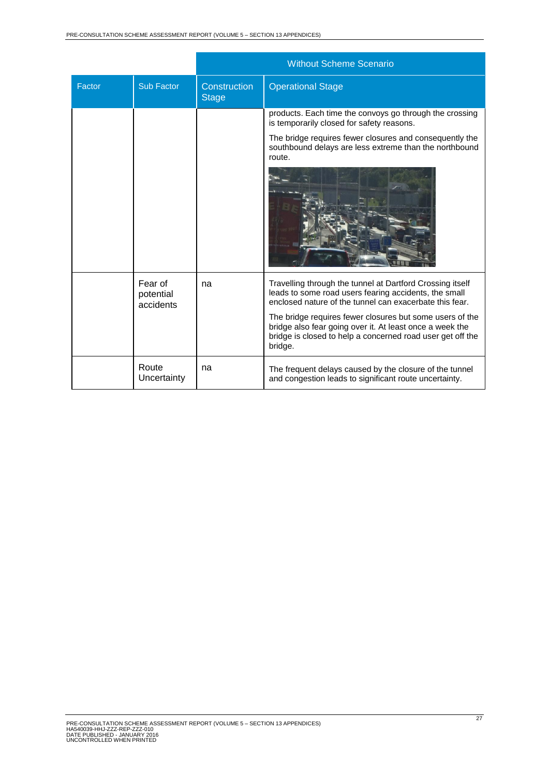|        |                                   |                              | <b>Without Scheme Scenario</b>                                                                                                                                                                |
|--------|-----------------------------------|------------------------------|-----------------------------------------------------------------------------------------------------------------------------------------------------------------------------------------------|
| Factor | Sub Factor                        | Construction<br><b>Stage</b> | <b>Operational Stage</b>                                                                                                                                                                      |
|        |                                   |                              | products. Each time the convoys go through the crossing<br>is temporarily closed for safety reasons.                                                                                          |
|        |                                   |                              | The bridge requires fewer closures and consequently the<br>southbound delays are less extreme than the northbound<br>route.                                                                   |
|        |                                   |                              |                                                                                                                                                                                               |
|        | Fear of<br>potential<br>accidents | na                           | Travelling through the tunnel at Dartford Crossing itself<br>leads to some road users fearing accidents, the small<br>enclosed nature of the tunnel can exacerbate this fear.                 |
|        |                                   |                              | The bridge requires fewer closures but some users of the<br>bridge also fear going over it. At least once a week the<br>bridge is closed to help a concerned road user get off the<br>bridge. |
|        | Route<br>Uncertainty              | na                           | The frequent delays caused by the closure of the tunnel<br>and congestion leads to significant route uncertainty.                                                                             |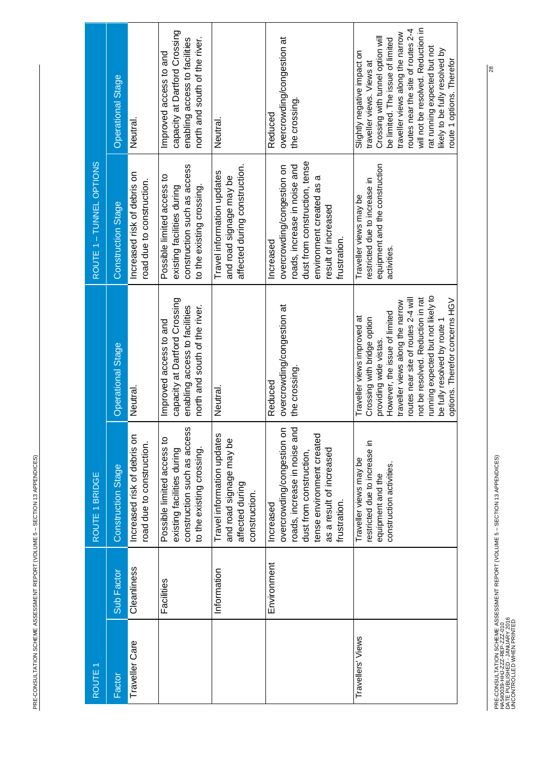| <b>CONTRACT CONTRACT CONTRACT</b><br>֡֡֡֡֡֡֡ |  |
|----------------------------------------------|--|
|                                              |  |
|                                              |  |
|                                              |  |
| ֠                                            |  |

| ROUTE <sub>1</sub> |             | ROUTE 1 BRIDGE                                                                                                                                                                  |                                                                                                                                                                                                                                                                                                                                               | ROUTE 1 - TUNNEL OPTIONS                                                                                                                                                    |                                                                                                                                                                                                                                                                                                                                                |
|--------------------|-------------|---------------------------------------------------------------------------------------------------------------------------------------------------------------------------------|-----------------------------------------------------------------------------------------------------------------------------------------------------------------------------------------------------------------------------------------------------------------------------------------------------------------------------------------------|-----------------------------------------------------------------------------------------------------------------------------------------------------------------------------|------------------------------------------------------------------------------------------------------------------------------------------------------------------------------------------------------------------------------------------------------------------------------------------------------------------------------------------------|
| Factor             | Sub Factor  | <b>Construction Stage</b>                                                                                                                                                       | <b>Operational Stage</b>                                                                                                                                                                                                                                                                                                                      | <b>Construction Stage</b>                                                                                                                                                   | Operational Stage                                                                                                                                                                                                                                                                                                                              |
| Traveller Care     | Cleanliness | Increased risk of debris on<br>road due to construction.                                                                                                                        | Neutral                                                                                                                                                                                                                                                                                                                                       | Increased risk of debris on<br>road due to construction.                                                                                                                    | Neutral                                                                                                                                                                                                                                                                                                                                        |
|                    | Facilities  | construction such as access<br>Possible limited access to<br>to the existing crossing.<br>existing facilities during                                                            | capacity at Dartford Crossing<br>north and south of the river.<br>enabling access to facilities<br>Improved access to and                                                                                                                                                                                                                     | construction such as access<br>Possible limited access to<br>to the existing crossing.<br>existing facilities during                                                        | capacity at Dartford Crossing<br>north and south of the river.<br>enabling access to facilities<br>Improved access to and                                                                                                                                                                                                                      |
|                    | Information | Travel information updates<br>and road signage may be<br>affected during<br>construction.                                                                                       | Neutral.                                                                                                                                                                                                                                                                                                                                      | affected during construction.<br>Travel information updates<br>and road signage may be                                                                                      | Neutral.                                                                                                                                                                                                                                                                                                                                       |
|                    | Environment | p<br>overcrowding/congestion on<br>tense environment created<br>roads, increase in noise ar<br>as a result of increased<br>dust from construction,<br>frustration.<br>Increased | overcrowding/congestion at<br>the crossing<br>Reduced                                                                                                                                                                                                                                                                                         | dust from construction, tense<br>roads, increase in noise and<br>overcrowding/congestion on<br>environment created as a<br>result of increased<br>frustration.<br>Increased | overcrowding/congestion at<br>the crossing<br>Reduced                                                                                                                                                                                                                                                                                          |
| Travellers' Views  |             | restricted due to increase in<br>Traveller views may be<br>construction activities.<br>equipment and the                                                                        | running expected but not likely to<br>routes near site of routes 2-4 will<br>not be resolved. Reduction in rat<br>options. Therefor concerns HGV<br>traveller views along the narrow<br>However, the issue of limited<br>Traveller views improved at<br>Crossing with bridge option<br>be fully resolved by route 1<br>providing wide vistas. | equipment and the construction<br>restricted due to increase in<br>Traveller views may be<br>activities                                                                     | will not be resolved. Reduction in<br>routes near the site of routes 2-4<br>traveller views along the narrow<br>Crossing with tunnel option will<br>be limited. The issue of limited<br>rat running expected but not<br>ikely to be fully resolved by<br>Slightly negative impact on<br>route 1 options. Therefor<br>traveller views. Views at |

PRE-CONSULTATION SCHEME ASSESSMENT REPORT (VOLUME 5 – SECTION 13 APPENDICES)<br>HAS40039-HHJ-ZZZ-REP\_ZZZ-010<br>UNCONTROLLED WHEN PRINTED PRE-CONSULTATION SCHEME ASSESSMENT REPORT (VOLUME 5 – SECTION 13 APPENDICES) DATE PUBLISHED - JANUARY 2016 UNCONTROLLED WHEN PRINTED HA540039-HHJ-ZZZ-REP-ZZZ-010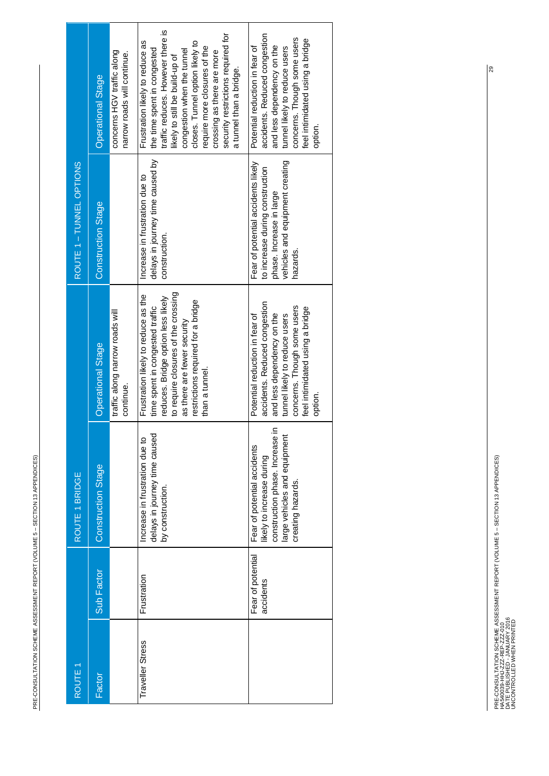| ROUTE <sub>1</sub> |                                | ROUTE 1 BRIDGE                                                                                                                                 |                                                                                                                                                                                                                                            | ROUTE 1 - TUNNEL OPTIONS                                                                                                                        |                                                                                                                                                                                                                                                                                                                                       |
|--------------------|--------------------------------|------------------------------------------------------------------------------------------------------------------------------------------------|--------------------------------------------------------------------------------------------------------------------------------------------------------------------------------------------------------------------------------------------|-------------------------------------------------------------------------------------------------------------------------------------------------|---------------------------------------------------------------------------------------------------------------------------------------------------------------------------------------------------------------------------------------------------------------------------------------------------------------------------------------|
| Factor             | Sub Factor                     | <b>Construction Stage</b>                                                                                                                      | <b>Operational Stage</b>                                                                                                                                                                                                                   | <b>Construction Stage</b>                                                                                                                       | Operational Stage                                                                                                                                                                                                                                                                                                                     |
|                    |                                |                                                                                                                                                | traffic along narrow roads will<br>continue.                                                                                                                                                                                               |                                                                                                                                                 | concerns HGV traffic along<br>narrow roads will continue.                                                                                                                                                                                                                                                                             |
| Traveller Stress   | Frustration                    | delays in journey time caused<br>Increase in frustration due to<br>by construction.                                                            | to require closures of the crossing<br>Frustration likely to reduce as the<br>reduces. Bridge option less likely<br>restrictions required for a bridge<br>time spent in congested traffic<br>as there are fewer security<br>than a tunnel. | delays in journey time caused by<br>Increase in frustration due to<br>construction.                                                             | traffic reduces. However there is<br>security restrictions required for<br>closes. Tunnel option likely to<br>Frustration likely to reduce as<br>require more closures of the<br>the time spent in congested<br>congestion when the tunnel<br>crossing as there are more<br>likely to still be build-up of<br>a tunnel than a bridge. |
|                    | Fear of potential<br>accidents | construction phase. Increase i<br>large vehicles and equipment<br>Fear of potential accidents<br>ikely to increase during<br>creating hazards. | accidents. Reduced congestion<br>concerns. Though some users<br>feel intimidated using a bridge<br>and less dependency on the<br>tunnel likely to reduce users<br>Potential reduction in fear of<br>option.                                | vehicles and equipment creating<br>Fear of potential accidents likely<br>to increase during construction<br>phase. Increase in large<br>hazards | accidents. Reduced congestion<br>concerns. Though some users<br>feel intimidated using a bridge<br>and less dependency on the<br>tunnel likely to reduce users<br>Potential reduction in fear of<br>option.                                                                                                                           |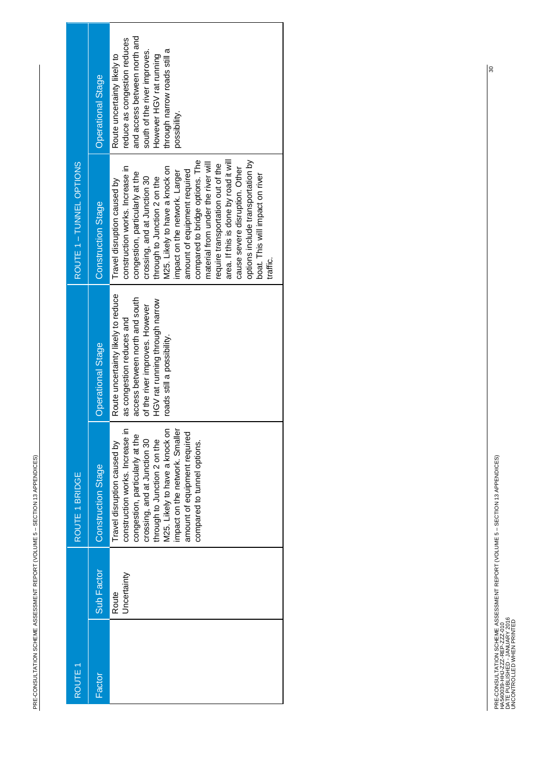| l<br>֡֡֡֡֡֡֡<br>I<br>l<br>֠<br><b>Service Service</b><br>֚֘֝                                                        |
|---------------------------------------------------------------------------------------------------------------------|
| l                                                                                                                   |
|                                                                                                                     |
| i<br>í<br>l<br>$\mathcal{L}^{\text{max}}_{\text{max}}$<br>Ī                                                         |
| l                                                                                                                   |
| ļ<br>$\mathcal{L}^{\text{max}}_{\text{max}}$<br>֡֡֡֡֡                                                               |
| $\ddot{\phantom{a}}$                                                                                                |
|                                                                                                                     |
| Í<br>ı<br><b>Service Service</b><br>l<br>I                                                                          |
| j<br>and the state of the state of the state of the state of the state of the state of the state of the state of th |
| Ì                                                                                                                   |
| ĺ<br>$\mathcal{L}^{\text{max}}_{\text{max}}$                                                                        |
| ļ                                                                                                                   |
| ļ<br>$\mathcal{L}^{\text{max}}_{\text{max}}$                                                                        |
| ֬֕֕<br>l                                                                                                            |
| Ì                                                                                                                   |
|                                                                                                                     |
| ֡֡֡֡֡֡                                                                                                              |
|                                                                                                                     |
| ۱                                                                                                                   |
| I<br>I<br>l<br>I<br>l                                                                                               |

| ROUTE <sub>1</sub> |                      | ROUTE 1 BRIDGE                                                                                                                                                                                                                                                                                         |                                                                                                                                                                                                     | ROUTE 1 - TUNNEL OPTIONS                                                                                                                                                                                                                                                                                                                                                                                                                                                                                                                          |                                                                                                                                                                                                        |
|--------------------|----------------------|--------------------------------------------------------------------------------------------------------------------------------------------------------------------------------------------------------------------------------------------------------------------------------------------------------|-----------------------------------------------------------------------------------------------------------------------------------------------------------------------------------------------------|---------------------------------------------------------------------------------------------------------------------------------------------------------------------------------------------------------------------------------------------------------------------------------------------------------------------------------------------------------------------------------------------------------------------------------------------------------------------------------------------------------------------------------------------------|--------------------------------------------------------------------------------------------------------------------------------------------------------------------------------------------------------|
| Factor             | Sub Factor           | <b>Construction Stage</b>                                                                                                                                                                                                                                                                              | Operational Stage                                                                                                                                                                                   | Construction Stage                                                                                                                                                                                                                                                                                                                                                                                                                                                                                                                                | <b>Operational Stage</b>                                                                                                                                                                               |
|                    | Uncertainty<br>Route | ⊆<br>M25. Likely to have a knock on<br>impact on the network. Smaller<br>amount of equipment required<br>congestion, particularly at the<br>construction works. Increase<br>crossing, and at Junction 30<br>through to Junction 2 on the<br>Travel disruption caused by<br>compared to tunnel options. | Route uncertainty likely to reduce<br>access between north and south<br>HGV rat running through narrow<br>of the river improves. However<br>as congestion reduces and<br>roads still a possibility. | compared to bridge options. The<br>area. If this is done by road it will<br>options include transportation by<br>material from under the river will<br>require transportation out of the<br>construction works. Increase in<br>V25. Likely to have a knock on<br>cause severe disruption. Other<br>amount of equipment required<br>impact on the network. Larger<br>congestion, particularly at the<br>boat. This will impact on river<br>crossing, and at Junction 30<br>through to Junction 2 on the<br>Travel disruption caused by<br>traffic. | and access between north and<br>reduce as congestion reduces<br>through narrow roads still a<br>south of the river improves.<br>Route uncertainty likely to<br>However HGV rat running<br>possibility. |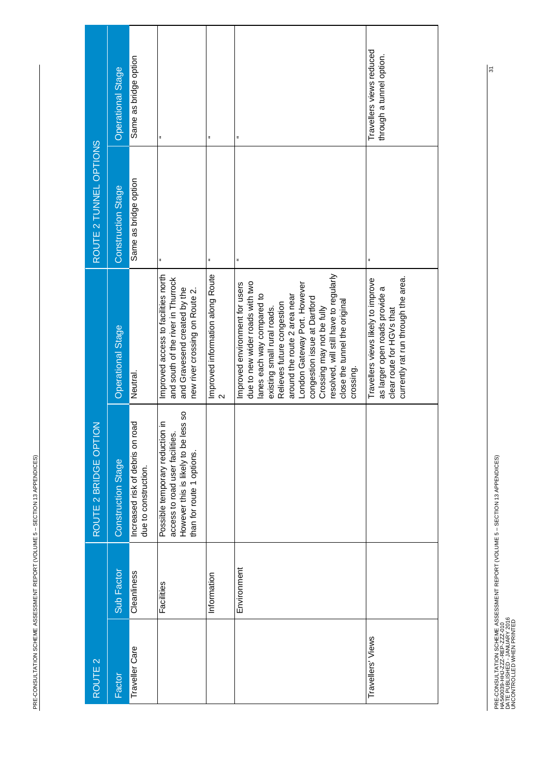| ֡֡֡֡֡֡֡                                 |
|-----------------------------------------|
| :<br>;<br>;                             |
|                                         |
|                                         |
| ֚֕֡֡֡֡֡֡                                |
|                                         |
| <br> <br> <br> <br> <br>֡֡֡֡֡֡          |
|                                         |
|                                         |
|                                         |
|                                         |
| $\mathcal{L}^{\text{max}}_{\text{max}}$ |
|                                         |
|                                         |
|                                         |
|                                         |
|                                         |
|                                         |
|                                         |
|                                         |

| ROUTE <sub>2</sub> |             | $\overline{5}$<br>ROUTE 2 BRIDGE OPT                                                                                                       |                                                                                                                                                                                                                                                                                                                                                                                   | ROUTE 2 TUNNEL OPTIONS    |                                                      |
|--------------------|-------------|--------------------------------------------------------------------------------------------------------------------------------------------|-----------------------------------------------------------------------------------------------------------------------------------------------------------------------------------------------------------------------------------------------------------------------------------------------------------------------------------------------------------------------------------|---------------------------|------------------------------------------------------|
| Factor             | Sub Factor  | <b>Construction Stage</b>                                                                                                                  | <b>Operational Stage</b>                                                                                                                                                                                                                                                                                                                                                          | <b>Construction Stage</b> | <b>Operational Stage</b>                             |
| Traveller Care     | Cleanliness | road<br>Increased risk of debris on<br>due to construction.                                                                                | Neutral.                                                                                                                                                                                                                                                                                                                                                                          | Same as bridge option     | Same as bridge option                                |
|                    | Facilities  | less so<br>Possible temporary reduction in<br>access to road user facilities.<br>However this is likely to be<br>than for route 1 options. | Improved access to facilities north<br>and south of the river in Thurrock<br>and Gravesend created by the<br>new river crossing on Route 2.                                                                                                                                                                                                                                       | ă                         | ă                                                    |
|                    | Information |                                                                                                                                            | Improved information along Route<br>$\mathbf{\hat{z}}$                                                                                                                                                                                                                                                                                                                            | ă                         | ä                                                    |
|                    | Environment |                                                                                                                                            | resolved, will still have to regularly<br>due to new wider roads with two<br>Improved environment for users<br>London Gateway Port. However<br>lanes each way compared to<br>around the route 2 area near<br>congestion issue at Dartford<br>close the tunnel the original<br>Relieves future congestion<br>Crossing may not be fully<br>existing small rural roads.<br>crossing. | ă                         | ă                                                    |
| Travellers' Views  |             |                                                                                                                                            | currently rat run through the area.<br>Travellers views likely to improve<br>as larger open roads provide a<br>clear route for HGVs that                                                                                                                                                                                                                                          |                           | Travellers views reduced<br>through a tunnel option. |

PRE-CONSULTATION SCHEME ASSESSMENT REPORT (VOLUME 5 – SECTION 13 APPENDICES)<br>HAS40039-HHJ-ZZZ-REP-ZZZ-010<br>UNCONTROLLED WHEN PRINTED PRE-CONSULTATION SCHEME ASSESSMENT REPORT (VOLUME 5 – SECTION 13 APPENDICES) DATE PUBLISHED - JANUARY 2016 UNCONTROLLED WHEN PRINTED HA540039-HHJ-ZZZ-REP-ZZZ-010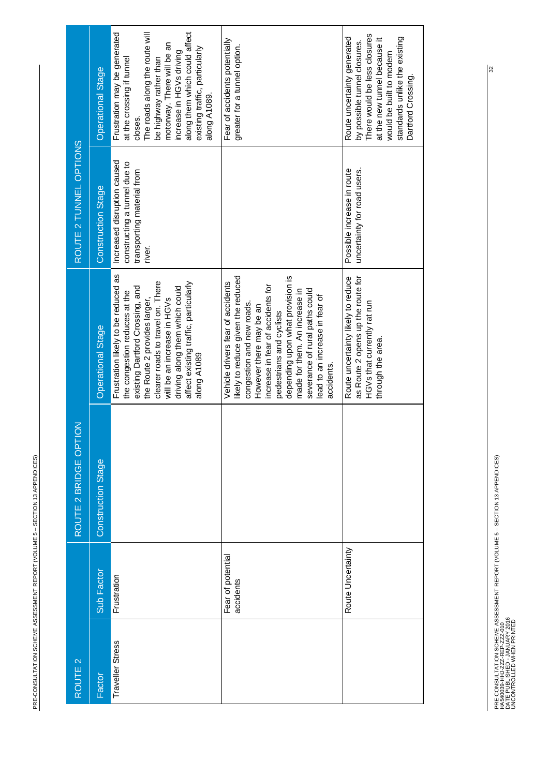| i<br> <br> <br> <br> <br> <br>֡֡֡֡֡֡֡                                                                                        |  |
|------------------------------------------------------------------------------------------------------------------------------|--|
| Ī<br>$\begin{array}{c}\n1 \\ 1 \\ 2\n\end{array}$<br><b>Service Service</b>                                                  |  |
| e version de la companya de la companya de la companya de la companya de la compa<br>$\mathcal{L}^{\text{max}}_{\text{max}}$ |  |
|                                                                                                                              |  |
| i<br>l                                                                                                                       |  |

| ROUTE <sub>2</sub> |                                | $\overline{6}$<br>ROUTE 2 BRIDGE OPT |                                                                                                                                                                                                                                                                                                                                                         | ROUTE 2 TUNNEL OPTIONS                                                                              |                                                                                                                                                                                                                                                                               |
|--------------------|--------------------------------|--------------------------------------|---------------------------------------------------------------------------------------------------------------------------------------------------------------------------------------------------------------------------------------------------------------------------------------------------------------------------------------------------------|-----------------------------------------------------------------------------------------------------|-------------------------------------------------------------------------------------------------------------------------------------------------------------------------------------------------------------------------------------------------------------------------------|
| Factor             | Sub Factor                     | <b>Construction Stage</b>            | Operational Stage                                                                                                                                                                                                                                                                                                                                       | <b>Construction Stage</b>                                                                           | <b>Operational Stage</b>                                                                                                                                                                                                                                                      |
| Traveller Stress   | Frustration                    |                                      | Frustration likely to be reduced as<br>clearer roads to travel on. There<br>affect existing traffic, particularly<br>existing Dartford Crossing, and<br>driving along them which could<br>the congestion reduces at the<br>will be an increase in HGVs<br>the Route 2 provides larger,<br>along A1089                                                   | Increased disruption caused<br>constructing a tunnel due to<br>transporting material from<br>river. | The roads along the route will<br>along them which could affect<br>Frustration may be generated<br>motorway. There will be an<br>existing traffic, particularly<br>increase in HGVs driving<br>at the crossing if tunnel<br>be highway rather than<br>along A1089.<br>closes. |
|                    | Fear of potential<br>accidents |                                      | likely to reduce given the reduced<br>depending upon what provision is<br>Vehicle drivers fear of accidents<br>increase in fear of accidents for<br>severance of rural paths could<br>made for them. An increase in<br>lead to an increase in fear of<br>congestion and new roads.<br>However there may be an<br>pedestrians and cyclists<br>accidents. |                                                                                                     | Fear of accidents potentially<br>greater for a tunnel option.                                                                                                                                                                                                                 |
|                    | Route Uncertainty              |                                      | as Route 2 opens up the route for<br>Route uncertainty likely to reduce<br>HGVs that currently rat run<br>through the area.                                                                                                                                                                                                                             | uncertainty for road users.<br>Possible increase in route                                           | There would be less closures<br>Route uncertainty generated<br>standards unlike the existing<br>at the new tunnel because it<br>by possible tunnel closures.<br>would be built to modern<br>Dartford Crossing.                                                                |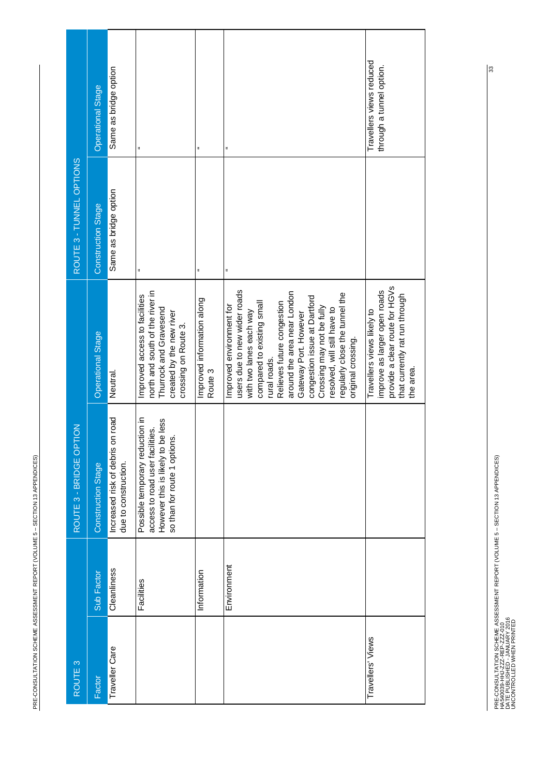| i<br>$\mathcal{L}^{\text{max}}_{\text{max}}$<br>.<br>.<br>.<br>.<br>i<br> <br> <br> <br>j<br>֡֡֡֡֡֡<br>i<br>I<br>l<br>l |  |
|-------------------------------------------------------------------------------------------------------------------------|--|
|                                                                                                                         |  |
|                                                                                                                         |  |
|                                                                                                                         |  |
|                                                                                                                         |  |
|                                                                                                                         |  |
|                                                                                                                         |  |
|                                                                                                                         |  |
|                                                                                                                         |  |
|                                                                                                                         |  |
|                                                                                                                         |  |
|                                                                                                                         |  |
|                                                                                                                         |  |
|                                                                                                                         |  |
|                                                                                                                         |  |
|                                                                                                                         |  |
|                                                                                                                         |  |
|                                                                                                                         |  |
|                                                                                                                         |  |
|                                                                                                                         |  |
|                                                                                                                         |  |
|                                                                                                                         |  |
|                                                                                                                         |  |
|                                                                                                                         |  |
|                                                                                                                         |  |
|                                                                                                                         |  |
|                                                                                                                         |  |
|                                                                                                                         |  |
|                                                                                                                         |  |

| ROUTE <sub>3</sub> |             | <b>NOL</b><br>ROUTE 3 - BRIDGE OP                                                                                                       |                                                                                                                                                                                                                                                                                                                                                                              | ROUTE 3 - TUNNEL OPTIONS  |                                                      |
|--------------------|-------------|-----------------------------------------------------------------------------------------------------------------------------------------|------------------------------------------------------------------------------------------------------------------------------------------------------------------------------------------------------------------------------------------------------------------------------------------------------------------------------------------------------------------------------|---------------------------|------------------------------------------------------|
| Factor             | Sub Factor  | Construction Stage                                                                                                                      | Operational Stage                                                                                                                                                                                                                                                                                                                                                            | <b>Construction Stage</b> | <b>Operational Stage</b>                             |
| Traveller Care     | Cleanliness | Increased risk of debris on road<br>due to construction.                                                                                | Neutral.                                                                                                                                                                                                                                                                                                                                                                     | Same as bridge option     | Same as bridge option                                |
|                    | Facilities  | Possible temporary reduction in<br>However this is likely to be less<br>so than for route 1 options.<br>access to road user facilities. | north and south of the river in<br>Improved access to facilities<br>Thurrock and Gravesend<br>created by the new river<br>crossing on Route 3.                                                                                                                                                                                                                               | ă,                        | ă,                                                   |
|                    | Information |                                                                                                                                         | Improved information along<br>Route 3                                                                                                                                                                                                                                                                                                                                        | ă                         |                                                      |
|                    | Environment |                                                                                                                                         | users due to new wider roads<br>around the area near London<br>regularly close the tunnel the<br>congestion issue at Dartford<br>compared to existing small<br>Relieves future congestion<br>Improved environment for<br>Crossing may not be fully<br>resolved, will still have to<br>with two lanes each way<br>Gateway Port. However<br>original crossing.<br>rural roads. |                           |                                                      |
| Travellers' Views  |             |                                                                                                                                         | provide a clear route for HGVs<br>improve as larger open roads<br>that currently rat run through<br>Travellers views likely to<br>the area.                                                                                                                                                                                                                                  |                           | Travellers views reduced<br>through a tunnel option. |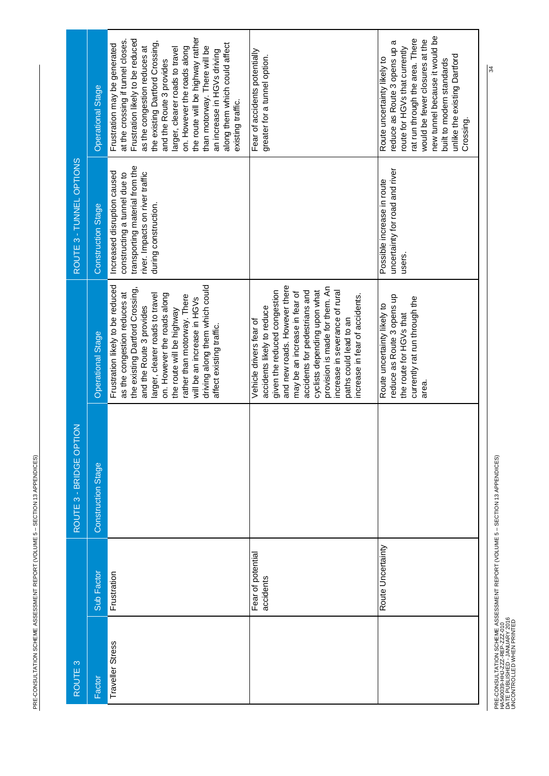| ROUTE <sub>3</sub> |                                | ROUTE 3 - BRIDGE OPTION |                                                                                                                                                                                                                                                                                                                                                            | ROUTE 3 - TUNNEL OPTIONS                                                                                                                                 |                                                                                                                                                                                                                                                                                                                                                                                                                                 |
|--------------------|--------------------------------|-------------------------|------------------------------------------------------------------------------------------------------------------------------------------------------------------------------------------------------------------------------------------------------------------------------------------------------------------------------------------------------------|----------------------------------------------------------------------------------------------------------------------------------------------------------|---------------------------------------------------------------------------------------------------------------------------------------------------------------------------------------------------------------------------------------------------------------------------------------------------------------------------------------------------------------------------------------------------------------------------------|
| Factor             | Sub Factor                     | Construction Stage      | <b>Operational Stage</b>                                                                                                                                                                                                                                                                                                                                   | <b>Construction Stage</b>                                                                                                                                | <b>Operational Stage</b>                                                                                                                                                                                                                                                                                                                                                                                                        |
| Traveller Stress   | Frustration                    |                         | driving along them which could<br>Frustration likely to be reduced<br>the existing Dartford Crossing,<br>as the congestion reduces at<br>on. However the roads along<br>larger, clearer roads to travel<br>rather than motorway. There<br>will be an increase in HGVs<br>and the Route 3 provides<br>the route will be highway<br>affect existing traffic. | transporting material from the<br>Increased disruption caused<br>constructing a tunnel due to<br>river. Impacts on river traffic<br>during construction. | the route will be highway rather<br>Frustration likely to be reduced<br>at the crossing if tunnel closes.<br>the existing Dartford Crossing,<br>along them which could affect<br>Frustration may be generated<br>as the congestion reduces at<br>than motorway. There will be<br>larger, clearer roads to travel<br>on. However the roads along<br>an increase in HGVs driving<br>and the Route 3 provides<br>existing traffic. |
|                    | Fear of potential<br>accidents |                         | and new roads. However there<br>provision is made for them. An<br>cyclists depending upon what<br>given the reduced congestion<br>increase in severance of rural<br>accidents for pedestrians and<br>may be an increase in fear of<br>increase in fear of accidents.<br>accidents likely to reduce<br>paths could lead to an<br>Vehicle drivers fear of    |                                                                                                                                                          | Fear of accidents potentially<br>greater for a tunnel option.                                                                                                                                                                                                                                                                                                                                                                   |
|                    | Route Uncertainty              |                         | reduce as Route 3 opens up<br>currently rat run through the<br>Route uncertainty likely to<br>the route for HGVs that<br>area.                                                                                                                                                                                                                             | uncertainty for road and river<br>Possible increase in route<br>users.                                                                                   | new tunnel because it would be<br>rat run through the area. There<br>would be fewer closures at the<br>reduce as Route 3 opens up a<br>route for HGVs that currently<br>unlike the existing Dartford<br>Route uncertainty likely to<br>built to modern standards<br>Crossing.                                                                                                                                                   |

PRE-CONSULTATION SCHEME ASSESSMENT REPORT (VOLUME 5 – SECTION 13 APPENDICES)<br>HA540039-HHJ-ZZZ-REP-ZZZ-010<br>UNCONTROLLED WHEN PRINTED PRE-CONSULTATION SCHEME ASSESSMENT REPORT (VOLUME 5 – SECTION 13 APPENDICES) DATE PUBLISHED - JANUARY 2016 HA540039-HHJ-ZZZ-REP-ZZZ-010

UNCONTROLLED WHEN PRINTED

34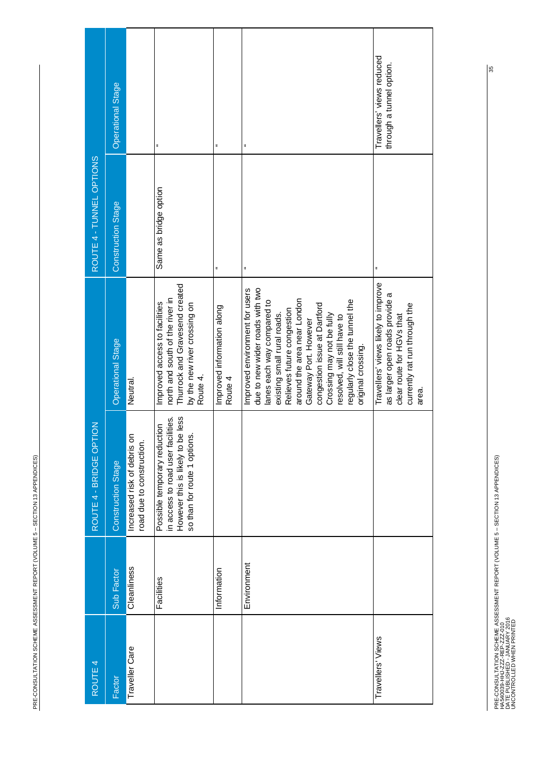| j<br>$\mathcal{L}^{\text{max}}_{\text{max}}$<br>$\overline{\phantom{a}}$ |
|--------------------------------------------------------------------------|
| ;<br>;<br>;                                                              |
| .<br>.<br>.<br>Ī                                                         |
| .<br>.<br>.<br>ı<br>֖֖ׅׅ֪ׅ֪ׅ֪ׅ֖ׅ֪ׅ֪ׅ֖֚֚֚֚֚֚֚֚֚֚֚֚֡֝֝֘֝֬֝֬֝֝֬֝<br>֡֡֡֡֡֡  |
|                                                                          |
| י                                                                        |
|                                                                          |
|                                                                          |
| Į<br>j<br>ļ                                                              |

| ROUTE 4           |             | ROUTE 4 - BRIDGE OPTION                                                                                                                      |                                                                                                                                                                                                                                                                                                                                                                           | ROUTE 4 - TUNNEL OPTIONS  |                                                       |
|-------------------|-------------|----------------------------------------------------------------------------------------------------------------------------------------------|---------------------------------------------------------------------------------------------------------------------------------------------------------------------------------------------------------------------------------------------------------------------------------------------------------------------------------------------------------------------------|---------------------------|-------------------------------------------------------|
| Factor            | Sub Factor  | Construction Stage                                                                                                                           | Operational Stage                                                                                                                                                                                                                                                                                                                                                         | <b>Construction Stage</b> | Operational Stage                                     |
| Traveller Care    | Cleanliness | ຣົ<br>road due to construction.<br>Increased risk of debris                                                                                  | Neutral.                                                                                                                                                                                                                                                                                                                                                                  |                           |                                                       |
|                   | Facilities  | be less<br>in access to road user facilities.<br>Possible temporary reduction<br>so than for route 1 options.<br>However this is likely to b | Thurrock and Gravesend created<br>north and south of the river in<br>Improved access to facilities<br>by the new river crossing on<br>Route 4.                                                                                                                                                                                                                            | Same as bridge option     | $\ddot{ }$                                            |
|                   | Information |                                                                                                                                              | Improved information along<br>Route 4                                                                                                                                                                                                                                                                                                                                     |                           | ä                                                     |
|                   | Environment |                                                                                                                                              | due to new wider roads with two<br>Improved environment for users<br>around the area near London<br>regularly close the tunnel the<br>lanes each way compared to<br>congestion issue at Dartford<br>Relieves future congestion<br>Crossing may not be fully<br>existing small rural roads.<br>resolved, will still have to<br>Gateway Port. However<br>original crossing. |                           | ä                                                     |
| Travellers' Views |             |                                                                                                                                              | Travellers' views likely to improve<br>as larger open roads provide a<br>currently rat run through the<br>clear route for HGVs that<br>area.                                                                                                                                                                                                                              |                           | Travellers' views reduced<br>through a tunnel option. |

PRE-CONSULTATION SCHEME ASSESSMENT REPORT (VOLUME 5 – SECTION 13 APPENDICES)<br>HAS40039-HHJ-ZZZ-REP-ZZZ-010<br>UNCONTROLLED WHEN PRINTED PRE-CONSULTATION SCHEME ASSESSMENT REPORT (VOLUME 5 – SECTION 13 APPENDICES) DATE PUBLISHED - JANUARY 2016 UNCONTROLLED WHEN PRINTED HA540039-HHJ-ZZZ-REP-ZZZ-010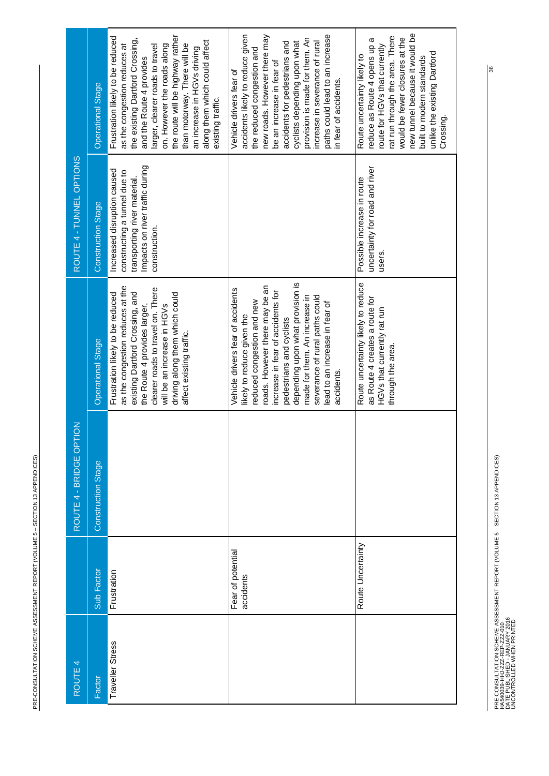PRE-CONSULTATION SCHEME ASSESSMENT REPORT (VOLUME 5 - SECTION 13 APPENDICES) PRE-CONSULTATION SCHEME ASSESSMENT REPORT (VOLUME 5 – SECTION 13 APPENDICES)

| ROUTE 4          |                                | $\leq$<br>ROUTE 4 - BRIDGE OPT |                                                                                                                                                                                                                                                                                                                                                      | ROUTE 4 - TUNNEL OPTIONS                                                                                                                        |                                                                                                                                                                                                                                                                                                                                                            |
|------------------|--------------------------------|--------------------------------|------------------------------------------------------------------------------------------------------------------------------------------------------------------------------------------------------------------------------------------------------------------------------------------------------------------------------------------------------|-------------------------------------------------------------------------------------------------------------------------------------------------|------------------------------------------------------------------------------------------------------------------------------------------------------------------------------------------------------------------------------------------------------------------------------------------------------------------------------------------------------------|
| Factor           | Sub Factor                     | Construction Stage             | <b>Operational Stage</b>                                                                                                                                                                                                                                                                                                                             | <b>Construction Stage</b>                                                                                                                       | <b>Operational Stage</b>                                                                                                                                                                                                                                                                                                                                   |
| Traveller Stress | Frustration                    |                                | as the congestion reduces at the<br>clearer roads to travel on. There<br>existing Dartford Crossing, and<br>Frustration likely to be reduced<br>driving along them which could<br>will be an increase in HGVs<br>the Route 4 provides larger,<br>affect existing traffic.                                                                            | Impacts on river traffic during<br>Increased disruption caused<br>constructing a tunnel due to<br>transporting river material.<br>construction. | the route will be highway rather<br>Frustration likely to be reduced<br>the existing Dartford Crossing,<br>along them which could affect<br>as the congestion reduces at<br>than motorway. There will be<br>on. However the roads along<br>larger, clearer roads to travel<br>an increase in HGVs driving<br>and the Route 4 provides<br>existing traffic. |
|                  | Fear of potential<br>accidents |                                | depending upon what provision is<br>oads. However there may be an<br>Vehicle drivers fear of accidents<br>increase in fear of accidents for<br>severance of rural paths could<br>made for them. An increase in<br>reduced congestion and new<br>lead to an increase in fear of<br>ikely to reduce given the<br>pedestrians and cyclists<br>accidents |                                                                                                                                                 | accidents likely to reduce given<br>new roads. However there may<br>paths could lead to an increase<br>provision is made for them. An<br>cyclists depending upon what<br>increase in severance of rural<br>accidents for pedestrians and<br>the reduced congestion and<br>be an increase in fear of<br>Vehicle drivers fear of<br>in fear of accidents     |
|                  | Route Uncertainty              |                                | Route uncertainty likely to reduce<br>as Route 4 creates a route for<br>HGVs that currently rat run<br>through the area.                                                                                                                                                                                                                             | uncertainty for road and river<br>Possible increase in route<br>users.                                                                          | new tunnel because it would be<br>rat run through the area. There<br>would be fewer closures at the<br>reduce as Route 4 opens up a<br>route for HGVs that currently<br>unlike the existing Dartford<br>Route uncertainty likely to<br>built to modern standards<br>Crossing.                                                                              |

PRE-CONSULTATION SCHEME ASSESSMENT REPORT (VOLUME 5 – SECTION 13 APPENDICES)<br>HAS40039-HHJ-ZZ-REP-ZZZ-010<br>DATE PUBLISHED - JANUARY 2016<br>UNCONTROLLED WHEN PRINTED PRE-CONSULTATION SCHEME ASSESSMENT REPORT (VOLUME 5 – SECTION 13 APPENDICES) DATE PUBLISHED - JANUARY 2016 UNCONTROLLED WHEN PRINTED HA540039-HHJ-ZZZ-REP-ZZZ-010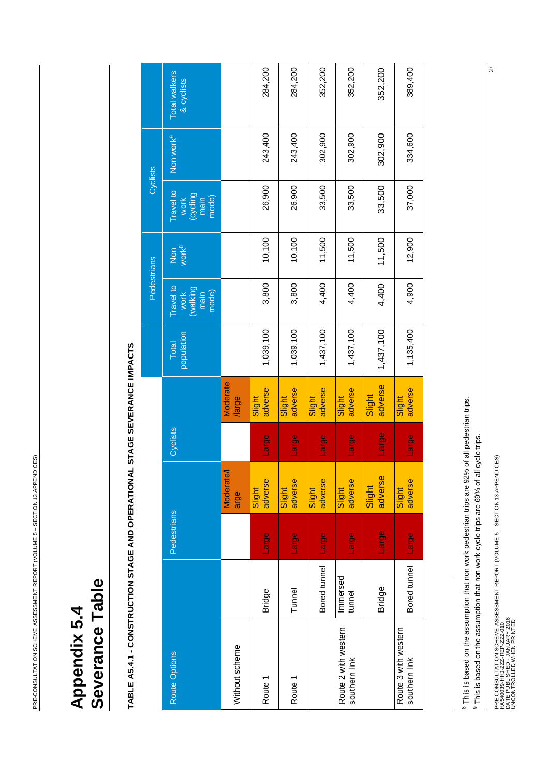# Severance Table **Severance Table** Appendix 5.4 **Appendix 5.4**

# <span id="page-37-1"></span><span id="page-37-0"></span>TABLE A5.4.1 - CONSTRUCTION STAGE AND OPERATIONAL STAGE SEVERANCE IMPACTS **TABLE A5.4.1 - CONSTRUCTION STAGE AND OPERATIONAL STAGE SEVERANCE IMPACTS**

|                                       |                    |             |                         |              |                   |                     | Pedestrians                                   |                          | Cyclists                                       |                       |                             |
|---------------------------------------|--------------------|-------------|-------------------------|--------------|-------------------|---------------------|-----------------------------------------------|--------------------------|------------------------------------------------|-----------------------|-----------------------------|
| Route Options                         |                    | Pedestrians |                         | Cyclists     |                   | population<br>Total | Travel to<br>walking<br>work<br>mode)<br>main | Non<br>work <sup>8</sup> | Travel to<br>(cycling<br>main<br>mode)<br>work | Non work <sup>9</sup> | Total walkers<br>& cyclists |
| Without scheme                        |                    |             | <b>Moderate</b><br>arge |              | Moderate<br>large |                     |                                               |                          |                                                |                       |                             |
| Route 1                               | <b>Bridge</b>      | Large       | adverse<br>Slight       | <b>Large</b> | adverse<br>Slight | 1,039,100           | 3,800                                         | 10,100                   | 26,900                                         | 243,400               | 284,200                     |
| Route 1                               | Tunnel             | Large       | adverse<br>Slight       | Large        | adverse<br>Slight | 1,039,100           | 3,800                                         | 10,100                   | 26,900                                         | 243,400               | 284,200                     |
|                                       | Bored tunnel       | Large       | adverse<br>Slight       | Large        | adverse<br>Slight | 1,437,100           | 4,400                                         | 11,500                   | 33,500                                         | 302,900               | 352,200                     |
| Route 2 with western<br>southern link | Immersed<br>tunnel | Large       | adverse<br>Slight       | Large        | adverse<br>Slight | 1,437,100           | 4,400                                         | 11,500                   | 33,500                                         | 302,900               | 352,200                     |
|                                       | <b>Bridge</b>      | Large       | adverse<br>Slight       | Large        | adverse<br>Slight | 1,437,100           | 4,400                                         | 11,500                   | 33,500                                         | 302,900               | 352,200                     |
| Route 3 with western<br>southern link | Bored tunnel       | Large       | adverse<br>Slight       | Large        | adverse<br>Slight | 1,135,400           | 4,900                                         | 12,900                   | 37,000                                         | 334,600               | 389,400                     |

<sup>8</sup> This is based on the assumption that non work pedestrian trips are 92% of all pedestrian trips.

and the state of the state of the

<sup>&</sup>lt;sup>9</sup> This is based on the assumption that non work cycle trips are 69% of all cycle trips.  $9$  This is based on the assumption that non work cycle trips are 69% of all cycle trips.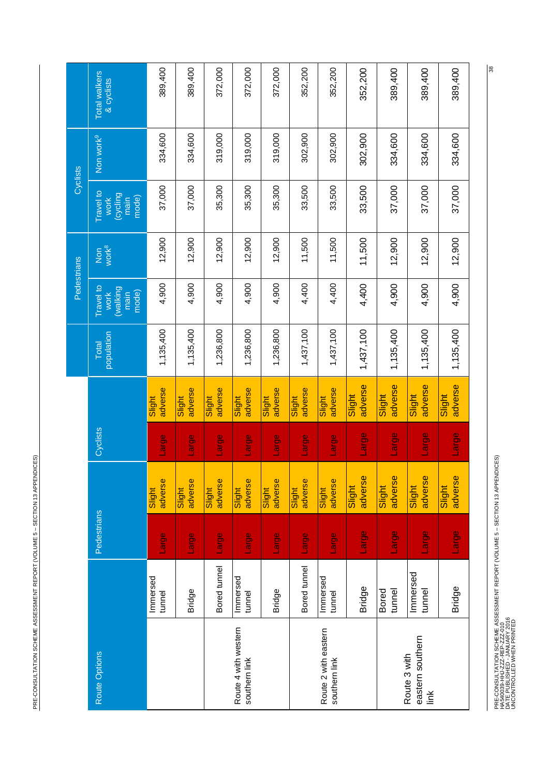PRE-CONSULTATION SCHEME ASSESSMENT REPORT (VOLUME 5 - SECTION 13 APPENDICES) PRE-CONSULTATION SCHEME ASSESSMENT REPORT (VOLUME 5 – SECTION 13 APPENDICES)

|                                       |                        |                    |                   |          |                   |                     | Pedestrians                                   |                          | Cyclists                                             |                       |                             |
|---------------------------------------|------------------------|--------------------|-------------------|----------|-------------------|---------------------|-----------------------------------------------|--------------------------|------------------------------------------------------|-----------------------|-----------------------------|
| Route Options                         |                        | <b>Pedestrians</b> |                   | Cyclists |                   | population<br>Total | Travel to<br>walking<br>mode)<br>work<br>main | work <sup>8</sup><br>Non | <b>Travel to</b><br>Cycling<br>mode)<br>main<br>work | Non work <sup>9</sup> | Total walkers<br>& cyclists |
|                                       | Immersed<br>tunnel     | Large              | adverse<br>Slight | Large    | adverse<br>Slight | 1,135,400           | 4,900                                         | 12,900                   | 37,000                                               | 334,600               | 389,400                     |
|                                       | <b>Bridge</b>          | Large              | adverse<br>Slight | Large    | adverse<br>Slight | 1,135,400           | 4,900                                         | 12,900                   | 37,000                                               | 334,600               | 389,400                     |
|                                       | Bored tunnel           | Large              | adverse<br>Slight | Large    | adverse<br>Slight | 1,236,800           | 4,900                                         | 12,900                   | 35,300                                               | 319,000               | 372,000                     |
| Route 4 with western<br>southern link | Immersed<br>tunnel     | Large              | adverse<br>Slight | Large    | adverse<br>Slight | 1,236,800           | 4,900                                         | 12,900                   | 35,300                                               | 319,000               | 372,000                     |
|                                       | <b>Bridge</b>          | Large              | adverse<br>Slight | Large    | adverse<br>Slight | 1,236,800           | 4,900                                         | 12,900                   | 35,300                                               | 319,000               | 372,000                     |
|                                       | Bored tunnel           | Large              | adverse<br>Slight | Large    | adverse<br>Slight | 1,437,100           | 4,400                                         | 11,500                   | 33,500                                               | 302,900               | 352,200                     |
| Route 2 with eastern<br>southern link | Immersed<br>tunnel     | Large              | adverse<br>Slight | Large    | adverse<br>Slight | 1,437,100           | 4,400                                         | 11,500                   | 33,500                                               | 302,900               | 352,200                     |
|                                       | <b>Bridge</b>          | Large              | adverse<br>Slight | Large    | adverse<br>Slight | 1,437,100           | 4,400                                         | 11,500                   | 33,500                                               | 302,900               | 352,200                     |
| Route 3 with                          | <b>Bored</b><br>tunnel | Large              | adverse<br>Slight | Large    | adverse<br>Slight | 1,135,400           | 4,900                                         | 12,900                   | 37,000                                               | 334,600               | 389,400                     |
| eastern southern<br>link              | Immersed<br>tunnel     | Large              | adverse<br>Slight | Large    | adverse<br>Slight | 1,135,400           | 4,900                                         | 12,900                   | 37,000                                               | 334,600               | 389,400                     |
|                                       | <b>Bridge</b>          | Large              | adverse<br>Slight | Large    | adverse<br>Slight | 1,135,400           | 4,900                                         | 12,900                   | 37,000                                               | 334,600               | 389,400                     |

PRE-CONSULTATION SCHEME ASSESSMENT REPORT (VOLUME 5 – SECTION 13 APPENDICES)<br>HAS40039-HHJ-ZZZ-REP-ZZZ-010<br>UNCONTROLLED WHEN PRINTED PRE-CONSULTATION SCHEME ASSESSMENT REPORT (VOLUME 5 – SECTION 13 APPENDICES) DATE PUBLISHED - JANUARY 2016 UNCONTROLLED WHEN PRINTED HA540039-HHJ-ZZZ-REP-ZZZ-010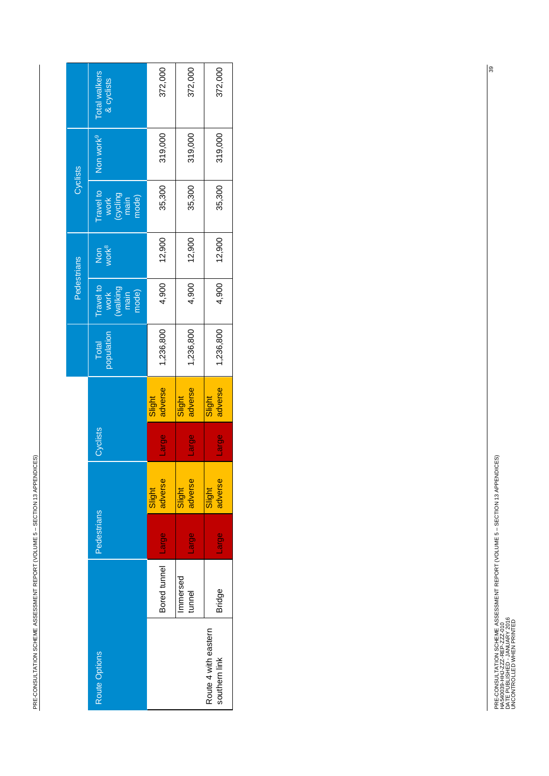PRE-CONSULTATION SCHEME ASSESSMENT REPORT (VOLUME 5 - SECTION 13 APPENDICES) PRE-CONSULTATION SCHEME ASSESSMENT REPORT (VOLUME 5 – SECTION 13 APPENDICES)

|                                       |                    |              |                   |              |                   |                     | <b>Pedestrians</b>                             |                          | Cyclists                                       |                       |                             |
|---------------------------------------|--------------------|--------------|-------------------|--------------|-------------------|---------------------|------------------------------------------------|--------------------------|------------------------------------------------|-----------------------|-----------------------------|
| Route Options                         |                    | Pedestrians  |                   | Cyclists     |                   | population<br>Total | Travel to<br>(walking<br>main<br>mode)<br>work | Non<br>work <sup>8</sup> | Travel to<br>work<br>(cycling<br>main<br>mode) | Non work <sup>9</sup> | Total walkers<br>& cyclists |
|                                       | Bored tunnel       | <b>BDIET</b> | adverse<br>Slight | <b>Large</b> | adverse<br>Slight | 1,236,800           | 4,900                                          | 12,900                   | 35,300                                         | 319,000               | 372,000                     |
|                                       | Immersed<br>tunnel | Large        | adverse<br>Slight | <b>Azjor</b> | adverse<br>Slight | 1,236,800           | 4,900                                          | 12,900                   | 35,300                                         | 319,000               | 372,000                     |
| Route 4 with eastern<br>southern link | <b>Bridge</b>      | Large        | adverse<br>Slight | <b>Anger</b> | adverse<br>Slight | 1,236,800           | 4,900                                          | 12,900                   | 35,300                                         | 319,000               | 372,000                     |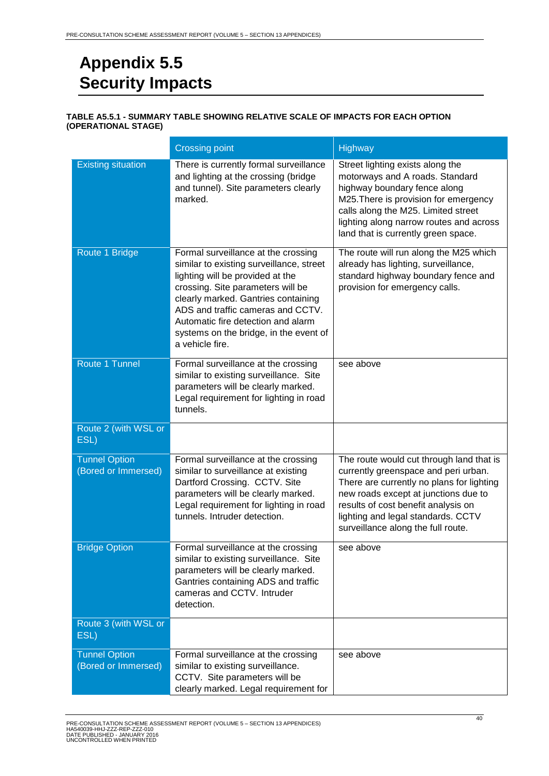# <span id="page-40-0"></span>**Appendix 5.5 Security Impacts**

#### <span id="page-40-1"></span>**TABLE A5.5.1 - SUMMARY TABLE SHOWING RELATIVE SCALE OF IMPACTS FOR EACH OPTION (OPERATIONAL STAGE)**

|                                             | <b>Crossing point</b>                                                                                                                                                                                                                                                                                                                   | <b>Highway</b>                                                                                                                                                                                                                                                                           |
|---------------------------------------------|-----------------------------------------------------------------------------------------------------------------------------------------------------------------------------------------------------------------------------------------------------------------------------------------------------------------------------------------|------------------------------------------------------------------------------------------------------------------------------------------------------------------------------------------------------------------------------------------------------------------------------------------|
| <b>Existing situation</b>                   | There is currently formal surveillance<br>and lighting at the crossing (bridge<br>and tunnel). Site parameters clearly<br>marked.                                                                                                                                                                                                       | Street lighting exists along the<br>motorways and A roads. Standard<br>highway boundary fence along<br>M25. There is provision for emergency<br>calls along the M25. Limited street<br>lighting along narrow routes and across<br>land that is currently green space.                    |
| Route 1 Bridge                              | Formal surveillance at the crossing<br>similar to existing surveillance, street<br>lighting will be provided at the<br>crossing. Site parameters will be<br>clearly marked. Gantries containing<br>ADS and traffic cameras and CCTV.<br>Automatic fire detection and alarm<br>systems on the bridge, in the event of<br>a vehicle fire. | The route will run along the M25 which<br>already has lighting, surveillance,<br>standard highway boundary fence and<br>provision for emergency calls.                                                                                                                                   |
| Route 1 Tunnel                              | Formal surveillance at the crossing<br>similar to existing surveillance. Site<br>parameters will be clearly marked.<br>Legal requirement for lighting in road<br>tunnels.                                                                                                                                                               | see above                                                                                                                                                                                                                                                                                |
| Route 2 (with WSL or<br>ESL)                |                                                                                                                                                                                                                                                                                                                                         |                                                                                                                                                                                                                                                                                          |
| <b>Tunnel Option</b><br>(Bored or Immersed) | Formal surveillance at the crossing<br>similar to surveillance at existing<br>Dartford Crossing. CCTV. Site<br>parameters will be clearly marked.<br>Legal requirement for lighting in road<br>tunnels. Intruder detection.                                                                                                             | The route would cut through land that is<br>currently greenspace and peri urban.<br>There are currently no plans for lighting<br>new roads except at junctions due to<br>results of cost benefit analysis on<br>lighting and legal standards. CCTV<br>surveillance along the full route. |
| <b>Bridge Option</b>                        | Formal surveillance at the crossing<br>similar to existing surveillance. Site<br>parameters will be clearly marked.<br>Gantries containing ADS and traffic<br>cameras and CCTV. Intruder<br>detection.                                                                                                                                  | see above                                                                                                                                                                                                                                                                                |
| Route 3 (with WSL or<br>ESL)                |                                                                                                                                                                                                                                                                                                                                         |                                                                                                                                                                                                                                                                                          |
| <b>Tunnel Option</b><br>(Bored or Immersed) | Formal surveillance at the crossing<br>similar to existing surveillance.<br>CCTV. Site parameters will be<br>clearly marked. Legal requirement for                                                                                                                                                                                      | see above                                                                                                                                                                                                                                                                                |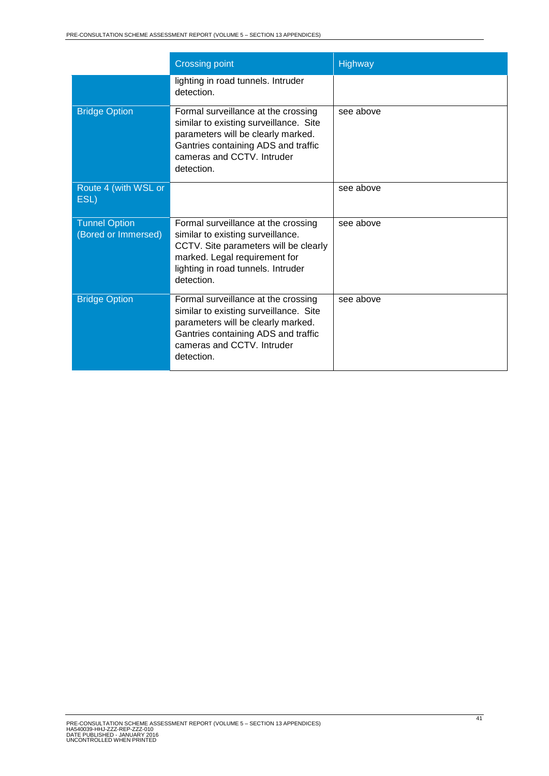|                                             | <b>Crossing point</b>                                                                                                                                                                                  | Highway   |
|---------------------------------------------|--------------------------------------------------------------------------------------------------------------------------------------------------------------------------------------------------------|-----------|
|                                             | lighting in road tunnels. Intruder<br>detection.                                                                                                                                                       |           |
| <b>Bridge Option</b>                        | Formal surveillance at the crossing<br>similar to existing surveillance. Site<br>parameters will be clearly marked.<br>Gantries containing ADS and traffic<br>cameras and CCTV. Intruder<br>detection. | see above |
| Route 4 (with WSL or<br>ESL)                |                                                                                                                                                                                                        | see above |
| <b>Tunnel Option</b><br>(Bored or Immersed) | Formal surveillance at the crossing<br>similar to existing surveillance.<br>CCTV. Site parameters will be clearly<br>marked. Legal requirement for<br>lighting in road tunnels. Intruder<br>detection. | see above |
| <b>Bridge Option</b>                        | Formal surveillance at the crossing<br>similar to existing surveillance. Site<br>parameters will be clearly marked.<br>Gantries containing ADS and traffic<br>cameras and CCTV. Intruder<br>detection. | see above |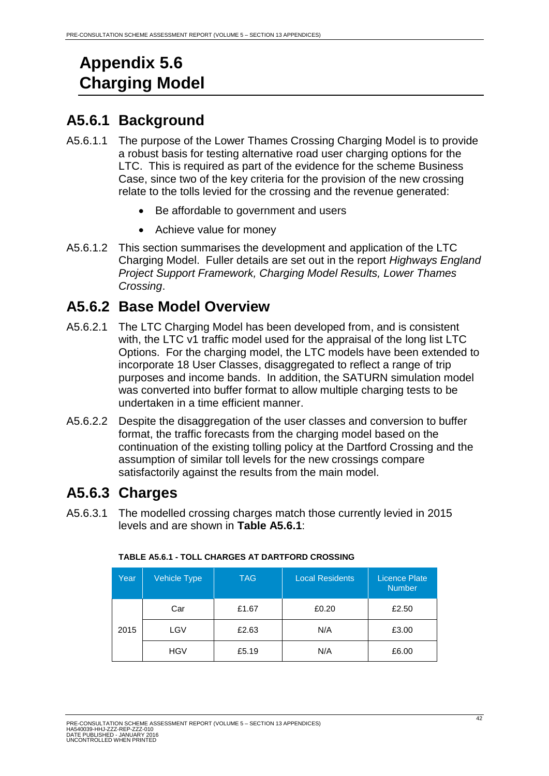# <span id="page-42-0"></span>**Appendix 5.6 Charging Model**

# <span id="page-42-1"></span>**A5.6.1 Background**

- A5.6.1.1 The purpose of the Lower Thames Crossing Charging Model is to provide a robust basis for testing alternative road user charging options for the LTC. This is required as part of the evidence for the scheme Business Case, since two of the key criteria for the provision of the new crossing relate to the tolls levied for the crossing and the revenue generated:
	- Be affordable to government and users
	- Achieve value for money
- A5.6.1.2 This section summarises the development and application of the LTC Charging Model. Fuller details are set out in the report *Highways England Project Support Framework, Charging Model Results, Lower Thames Crossing*.

# <span id="page-42-2"></span>**A5.6.2 Base Model Overview**

- A5.6.2.1 The LTC Charging Model has been developed from, and is consistent with, the LTC v1 traffic model used for the appraisal of the long list LTC Options. For the charging model, the LTC models have been extended to incorporate 18 User Classes, disaggregated to reflect a range of trip purposes and income bands. In addition, the SATURN simulation model was converted into buffer format to allow multiple charging tests to be undertaken in a time efficient manner.
- A5.6.2.2 Despite the disaggregation of the user classes and conversion to buffer format, the traffic forecasts from the charging model based on the continuation of the existing tolling policy at the Dartford Crossing and the assumption of similar toll levels for the new crossings compare satisfactorily against the results from the main model.

# <span id="page-42-3"></span>**A5.6.3 Charges**

<span id="page-42-4"></span>A5.6.3.1 The modelled crossing charges match those currently levied in 2015 levels and are shown in **Table A5.6.1**:

| Year | Vehicle Type | <b>TAG</b> | <b>Local Residents</b> | <b>Licence Plate</b><br><b>Number</b> |
|------|--------------|------------|------------------------|---------------------------------------|
|      | Car          | £1.67      | £0.20                  | £2.50                                 |
| 2015 | LGV          | £2.63      | N/A                    | £3.00                                 |
|      | <b>HGV</b>   | £5.19      | N/A                    | £6.00                                 |

#### **TABLE A5.6.1 - TOLL CHARGES AT DARTFORD CROSSING**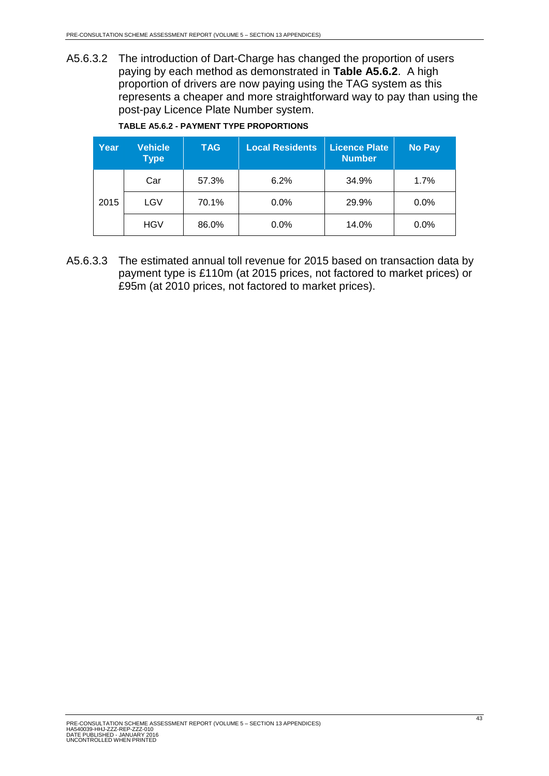A5.6.3.2 The introduction of Dart-Charge has changed the proportion of users paying by each method as demonstrated in **Table A5.6.2**. A high proportion of drivers are now paying using the TAG system as this represents a cheaper and more straightforward way to pay than using the post-pay Licence Plate Number system.

<span id="page-43-0"></span>

| Year | <b>Vehicle</b><br><b>Type</b> | <b>TAG</b> | <b>Local Residents</b> | <b>Licence Plate</b><br><b>Number</b> | <b>No Pay</b> |
|------|-------------------------------|------------|------------------------|---------------------------------------|---------------|
|      | Car                           | 57.3%      | 6.2%                   | 34.9%                                 | 1.7%          |
| 2015 | LGV                           | 70.1%      | 0.0%                   | 29.9%                                 | $0.0\%$       |
|      | <b>HGV</b>                    | 86.0%      | 0.0%                   | 14.0%                                 | 0.0%          |

A5.6.3.3 The estimated annual toll revenue for 2015 based on transaction data by payment type is £110m (at 2015 prices, not factored to market prices) or £95m (at 2010 prices, not factored to market prices).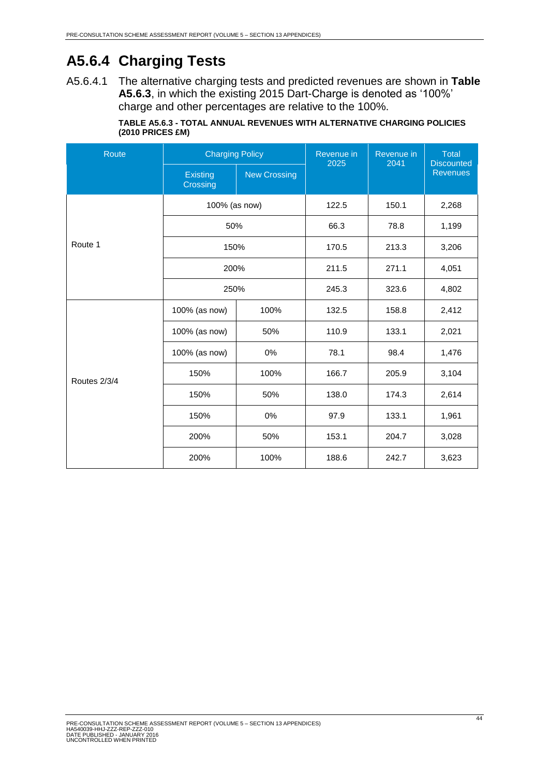# <span id="page-44-0"></span>**A5.6.4 Charging Tests**

A5.6.4.1 The alternative charging tests and predicted revenues are shown in **Table A5.6.3**, in which the existing 2015 Dart-Charge is denoted as '100%' charge and other percentages are relative to the 100%.

|                    | <b>TABLE A5.6.3 - TOTAL ANNUAL REVENUES WITH ALTERNATIVE CHARGING POLICIES</b> |
|--------------------|--------------------------------------------------------------------------------|
| $(2010$ PRICES £M) |                                                                                |

<span id="page-44-1"></span>

| Route        | <b>Charging Policy</b>      |                     | Revenue in<br>2025 | Revenue in<br>2041 | <b>Total</b><br><b>Discounted</b> |
|--------------|-----------------------------|---------------------|--------------------|--------------------|-----------------------------------|
|              | <b>Existing</b><br>Crossing | <b>New Crossing</b> |                    |                    | <b>Revenues</b>                   |
|              | 100% (as now)               |                     | 122.5              | 150.1              | 2,268                             |
|              | 50%                         |                     | 66.3               | 78.8               | 1,199                             |
| Route 1      | 150%                        |                     | 170.5              | 213.3              | 3,206                             |
|              | 200%                        |                     | 211.5              | 271.1              | 4,051                             |
|              | 250%                        |                     | 245.3              | 323.6              | 4,802                             |
|              | 100% (as now)               | 100%                | 132.5              | 158.8              | 2,412                             |
|              | 100% (as now)               | 50%                 | 110.9              | 133.1              | 2,021                             |
|              | 100% (as now)               | 0%                  | 78.1               | 98.4               | 1,476                             |
| Routes 2/3/4 | 150%                        | 100%                | 166.7              | 205.9              | 3,104                             |
|              | 150%                        | 50%                 | 138.0              | 174.3              | 2,614                             |
|              | 150%                        | 0%                  | 97.9               | 133.1              | 1,961                             |
|              | 200%                        | 50%                 | 153.1              | 204.7              | 3,028                             |
|              | 200%                        | 100%                | 188.6              | 242.7              | 3,623                             |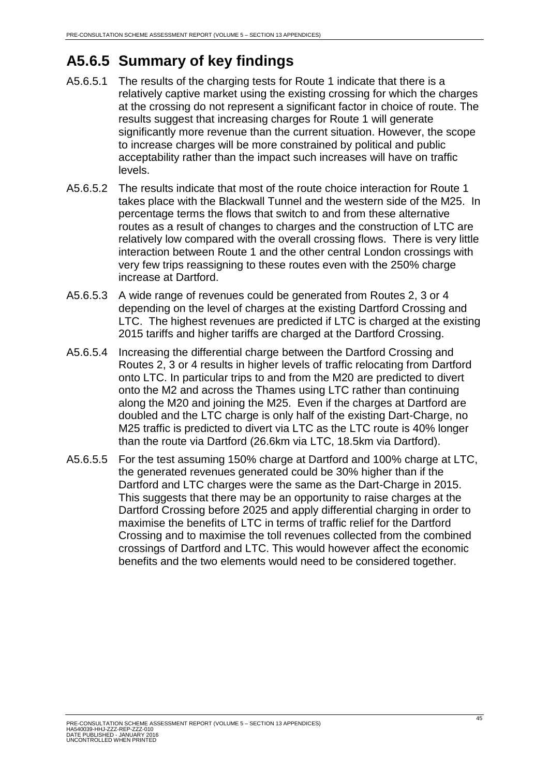# <span id="page-45-0"></span>**A5.6.5 Summary of key findings**

- A5.6.5.1 The results of the charging tests for Route 1 indicate that there is a relatively captive market using the existing crossing for which the charges at the crossing do not represent a significant factor in choice of route. The results suggest that increasing charges for Route 1 will generate significantly more revenue than the current situation. However, the scope to increase charges will be more constrained by political and public acceptability rather than the impact such increases will have on traffic levels.
- A5.6.5.2 The results indicate that most of the route choice interaction for Route 1 takes place with the Blackwall Tunnel and the western side of the M25. In percentage terms the flows that switch to and from these alternative routes as a result of changes to charges and the construction of LTC are relatively low compared with the overall crossing flows. There is very little interaction between Route 1 and the other central London crossings with very few trips reassigning to these routes even with the 250% charge increase at Dartford.
- A5.6.5.3 A wide range of revenues could be generated from Routes 2, 3 or 4 depending on the level of charges at the existing Dartford Crossing and LTC. The highest revenues are predicted if LTC is charged at the existing 2015 tariffs and higher tariffs are charged at the Dartford Crossing.
- A5.6.5.4 Increasing the differential charge between the Dartford Crossing and Routes 2, 3 or 4 results in higher levels of traffic relocating from Dartford onto LTC. In particular trips to and from the M20 are predicted to divert onto the M2 and across the Thames using LTC rather than continuing along the M20 and joining the M25. Even if the charges at Dartford are doubled and the LTC charge is only half of the existing Dart-Charge, no M25 traffic is predicted to divert via LTC as the LTC route is 40% longer than the route via Dartford (26.6km via LTC, 18.5km via Dartford).
- A5.6.5.5 For the test assuming 150% charge at Dartford and 100% charge at LTC, the generated revenues generated could be 30% higher than if the Dartford and LTC charges were the same as the Dart-Charge in 2015. This suggests that there may be an opportunity to raise charges at the Dartford Crossing before 2025 and apply differential charging in order to maximise the benefits of LTC in terms of traffic relief for the Dartford Crossing and to maximise the toll revenues collected from the combined crossings of Dartford and LTC. This would however affect the economic benefits and the two elements would need to be considered together.